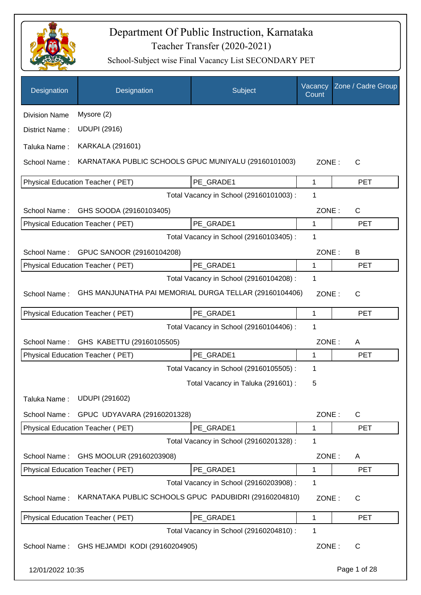

| Designation          | Designation                                            | Subject                                 | Vacancy<br>Count | Zone / Cadre Group |
|----------------------|--------------------------------------------------------|-----------------------------------------|------------------|--------------------|
| <b>Division Name</b> | Mysore (2)                                             |                                         |                  |                    |
| District Name:       | <b>UDUPI (2916)</b>                                    |                                         |                  |                    |
| Taluka Name:         | <b>KARKALA (291601)</b>                                |                                         |                  |                    |
| School Name:         | KARNATAKA PUBLIC SCHOOLS GPUC MUNIYALU (29160101003)   |                                         | ZONE:            | C                  |
|                      | Physical Education Teacher (PET)                       | PE GRADE1                               | 1                | <b>PET</b>         |
|                      |                                                        | Total Vacancy in School (29160101003) : | 1                |                    |
| School Name:         | GHS SOODA (29160103405)                                |                                         | ZONE:            | C                  |
|                      | Physical Education Teacher (PET)                       | PE_GRADE1                               | 1                | <b>PET</b>         |
|                      |                                                        | Total Vacancy in School (29160103405) : | 1                |                    |
| School Name:         | GPUC SANOOR (29160104208)                              |                                         | ZONE:            | B                  |
|                      | Physical Education Teacher (PET)                       | PE GRADE1                               | 1                | <b>PET</b>         |
|                      |                                                        | Total Vacancy in School (29160104208) : | 1                |                    |
| School Name:         | GHS MANJUNATHA PAI MEMORIAL DURGA TELLAR (29160104406) |                                         | ZONE:            | $\mathsf{C}$       |
|                      | Physical Education Teacher (PET)                       | PE_GRADE1                               | 1                | <b>PET</b>         |
|                      |                                                        | Total Vacancy in School (29160104406) : | 1                |                    |
| School Name:         | GHS KABETTU (29160105505)                              |                                         | ZONE:            | A                  |
|                      | Physical Education Teacher (PET)                       | PE GRADE1                               | 1                | <b>PET</b>         |
|                      |                                                        | Total Vacancy in School (29160105505) : | 1                |                    |
|                      |                                                        | Total Vacancy in Taluka (291601) :      | 5                |                    |
| Taluka Name:         | <b>UDUPI (291602)</b>                                  |                                         |                  |                    |
| School Name:         | GPUC UDYAVARA (29160201328)                            |                                         | ZONE:            | $\mathsf{C}$       |
|                      | Physical Education Teacher (PET)                       | PE_GRADE1                               | 1                | <b>PET</b>         |
|                      |                                                        | Total Vacancy in School (29160201328) : | 1                |                    |
| School Name:         | GHS MOOLUR (29160203908)                               |                                         | ZONE:            | A                  |
|                      | Physical Education Teacher (PET)                       | PE GRADE1                               | 1                | <b>PET</b>         |
|                      |                                                        | Total Vacancy in School (29160203908) : | 1                |                    |
| School Name:         | KARNATAKA PUBLIC SCHOOLS GPUC PADUBIDRI (29160204810)  |                                         | ZONE:            | C                  |
|                      | Physical Education Teacher (PET)                       | PE GRADE1                               | 1                | <b>PET</b>         |
|                      |                                                        | Total Vacancy in School (29160204810) : | 1                |                    |
|                      | School Name: GHS HEJAMDI KODI (29160204905)            |                                         | ZONE:            | C                  |
| 12/01/2022 10:35     |                                                        |                                         |                  | Page 1 of 28       |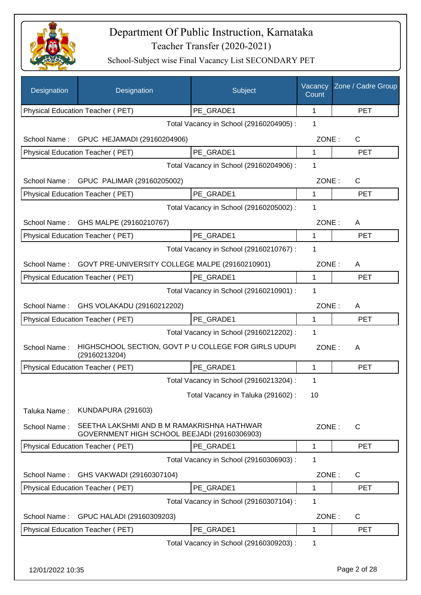

| Designation      | Designation                                                                                | Subject                                 | Vacancy<br>Count | Zone / Cadre Group |
|------------------|--------------------------------------------------------------------------------------------|-----------------------------------------|------------------|--------------------|
|                  | Physical Education Teacher (PET)                                                           | PE GRADE1                               | 1                | <b>PET</b>         |
|                  |                                                                                            | Total Vacancy in School (29160204905) : | 1                |                    |
| School Name:     | GPUC HEJAMADI (29160204906)                                                                |                                         | ZONE:            | C                  |
|                  | Physical Education Teacher (PET)                                                           | PE GRADE1                               | 1                | <b>PET</b>         |
|                  |                                                                                            | Total Vacancy in School (29160204906) : | 1                |                    |
|                  | School Name: GPUC PALIMAR (29160205002)                                                    |                                         | ZONE:            | C                  |
|                  | Physical Education Teacher (PET)                                                           | PE GRADE1                               | 1                | <b>PET</b>         |
|                  |                                                                                            | Total Vacancy in School (29160205002) : | 1                |                    |
| School Name:     | GHS MALPE (29160210767)                                                                    |                                         | ZONE:            | A                  |
|                  | Physical Education Teacher (PET)                                                           | PE GRADE1                               | 1                | <b>PET</b>         |
|                  |                                                                                            | Total Vacancy in School (29160210767) : | 1                |                    |
| School Name:     | GOVT PRE-UNIVERSITY COLLEGE MALPE (29160210901)                                            |                                         | ZONE:            | A                  |
|                  | Physical Education Teacher (PET)                                                           | PE GRADE1                               | $\mathbf{1}$     | <b>PET</b>         |
|                  |                                                                                            | Total Vacancy in School (29160210901) : | 1                |                    |
|                  | School Name: GHS VOLAKADU (29160212202)                                                    |                                         | ZONE:            | A                  |
|                  | Physical Education Teacher (PET)                                                           | PE GRADE1                               | 1                | <b>PET</b>         |
|                  |                                                                                            | Total Vacancy in School (29160212202) : | 1                |                    |
| School Name:     | HIGHSCHOOL SECTION, GOVT P U COLLEGE FOR GIRLS UDUPI<br>(29160213204)                      |                                         | ZONE:            | A                  |
|                  | Physical Education Teacher (PET)                                                           | PE GRADE1                               | 1                | <b>PET</b>         |
|                  |                                                                                            | Total Vacancy in School (29160213204) : | 1                |                    |
|                  |                                                                                            | Total Vacancy in Taluka (291602):       | 10               |                    |
| Taluka Name:     | <b>KUNDAPURA (291603)</b>                                                                  |                                         |                  |                    |
| School Name:     | SEETHA LAKSHMI AND B M RAMAKRISHNA HATHWAR<br>GOVERNMENT HIGH SCHOOL BEEJADI (29160306903) |                                         | ZONE:            | C                  |
|                  | <b>Physical Education Teacher (PET)</b>                                                    | PE GRADE1                               | 1                | <b>PET</b>         |
|                  |                                                                                            | Total Vacancy in School (29160306903) : | 1                |                    |
| School Name:     | GHS VAKWADI (29160307104)                                                                  |                                         | ZONE:            | $\mathsf{C}$       |
|                  | Physical Education Teacher (PET)                                                           | PE_GRADE1                               | 1                | <b>PET</b>         |
|                  |                                                                                            | Total Vacancy in School (29160307104) : | 1                |                    |
| School Name:     | GPUC HALADI (29160309203)                                                                  |                                         | ZONE:            | C                  |
|                  | Physical Education Teacher (PET)                                                           | PE_GRADE1                               | 1                | <b>PET</b>         |
|                  |                                                                                            | Total Vacancy in School (29160309203) : | 1                |                    |
| 12/01/2022 10:35 |                                                                                            |                                         |                  | Page 2 of 28       |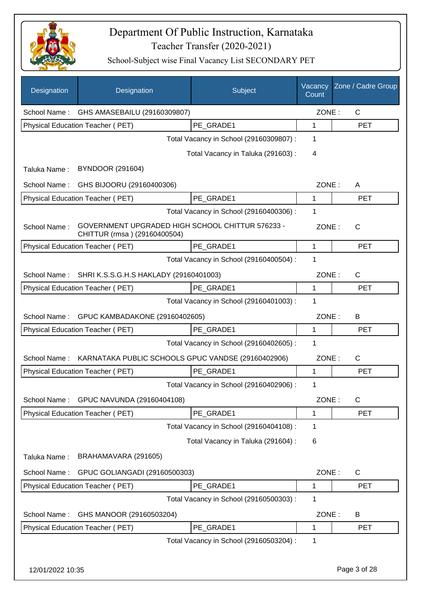

| Designation      | Designation                                                                      | Subject                                 | Vacancy<br>Count | Zone / Cadre Group |
|------------------|----------------------------------------------------------------------------------|-----------------------------------------|------------------|--------------------|
| School Name:     | GHS AMASEBAILU (29160309807)                                                     |                                         | ZONE:            | $\mathsf{C}$       |
|                  | <b>Physical Education Teacher (PET)</b>                                          | PE GRADE1                               | 1                | <b>PET</b>         |
|                  |                                                                                  | Total Vacancy in School (29160309807) : | 1                |                    |
|                  |                                                                                  | Total Vacancy in Taluka (291603):       | 4                |                    |
| Taluka Name:     | <b>BYNDOOR (291604)</b>                                                          |                                         |                  |                    |
| School Name:     | GHS BIJOORU (29160400306)                                                        |                                         | ZONE:            | A                  |
|                  | Physical Education Teacher (PET)                                                 | PE_GRADE1                               | 1                | <b>PET</b>         |
|                  |                                                                                  | Total Vacancy in School (29160400306) : | 1                |                    |
| School Name:     | GOVERNMENT UPGRADED HIGH SCHOOL CHITTUR 576233 -<br>CHITTUR (rmsa) (29160400504) |                                         | ZONE:            | $\mathsf{C}$       |
|                  | Physical Education Teacher (PET)                                                 | PE GRADE1                               | $\mathbf{1}$     | <b>PET</b>         |
|                  |                                                                                  | Total Vacancy in School (29160400504) : | 1                |                    |
| School Name:     | SHRI K.S.S.G.H.S HAKLADY (29160401003)                                           |                                         | ZONE:            | C                  |
|                  | Physical Education Teacher (PET)                                                 | PE GRADE1                               | 1                | <b>PET</b>         |
|                  |                                                                                  | Total Vacancy in School (29160401003) : | 1                |                    |
| School Name:     | GPUC KAMBADAKONE (29160402605)                                                   |                                         | ZONE:            | В                  |
|                  | Physical Education Teacher (PET)                                                 | PE GRADE1                               | 1                | <b>PET</b>         |
|                  |                                                                                  | Total Vacancy in School (29160402605) : | 1                |                    |
| School Name:     | KARNATAKA PUBLIC SCHOOLS GPUC VANDSE (29160402906)                               |                                         | ZONE:            | С                  |
|                  | Physical Education Teacher (PET)                                                 | PE GRADE1                               | 1                | <b>PET</b>         |
|                  |                                                                                  | Total Vacancy in School (29160402906) : | 1                |                    |
| School Name:     | GPUC NAVUNDA (29160404108)                                                       |                                         | ZONE:            | C                  |
|                  | <b>Physical Education Teacher (PET)</b>                                          | PE_GRADE1                               | 1                | <b>PET</b>         |
|                  |                                                                                  | Total Vacancy in School (29160404108) : | 1                |                    |
|                  |                                                                                  | Total Vacancy in Taluka (291604) :      | 6                |                    |
| Taluka Name:     | BRAHAMAVARA (291605)                                                             |                                         |                  |                    |
| School Name:     | GPUC GOLIANGADI (29160500303)                                                    |                                         | ZONE:            | $\mathsf{C}$       |
|                  | Physical Education Teacher (PET)                                                 | PE_GRADE1                               | 1                | <b>PET</b>         |
|                  |                                                                                  | Total Vacancy in School (29160500303) : | 1                |                    |
| School Name:     | GHS MANOOR (29160503204)                                                         |                                         | ZONE:            | B                  |
|                  | Physical Education Teacher (PET)                                                 | PE_GRADE1                               | 1                | <b>PET</b>         |
|                  |                                                                                  | Total Vacancy in School (29160503204) : | 1                |                    |
| 12/01/2022 10:35 |                                                                                  |                                         |                  | Page 3 of 28       |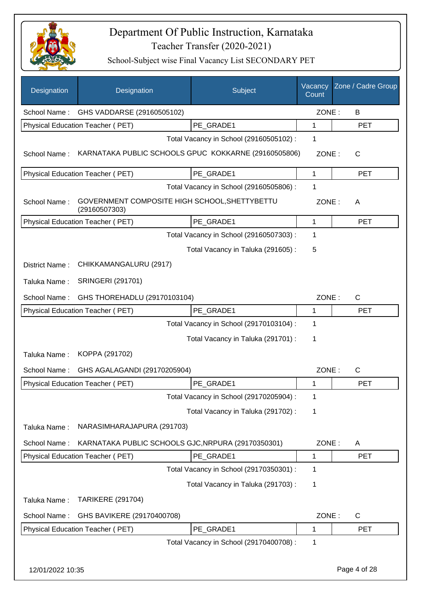

| Designation      | Designation                                                    | Subject                                 | Vacancy<br>Count | Zone / Cadre Group |
|------------------|----------------------------------------------------------------|-----------------------------------------|------------------|--------------------|
| School Name:     | GHS VADDARSE (29160505102)                                     |                                         | ZONE:            | B                  |
|                  | Physical Education Teacher (PET)                               | PE_GRADE1                               | 1                | <b>PET</b>         |
|                  |                                                                | Total Vacancy in School (29160505102) : | 1                |                    |
| School Name:     | KARNATAKA PUBLIC SCHOOLS GPUC KOKKARNE (29160505806)           |                                         | ZONE:            | C                  |
|                  | <b>Physical Education Teacher (PET)</b>                        | PE_GRADE1                               | 1                | <b>PET</b>         |
|                  |                                                                | Total Vacancy in School (29160505806) : | 1                |                    |
| School Name:     | GOVERNMENT COMPOSITE HIGH SCHOOL, SHETTYBETTU<br>(29160507303) |                                         | ZONE:            | A                  |
|                  | Physical Education Teacher (PET)                               | PE GRADE1                               | 1                | <b>PET</b>         |
|                  |                                                                | Total Vacancy in School (29160507303) : | 1                |                    |
|                  |                                                                | Total Vacancy in Taluka (291605):       | 5                |                    |
| District Name:   | CHIKKAMANGALURU (2917)                                         |                                         |                  |                    |
| Taluka Name:     | <b>SRINGERI (291701)</b>                                       |                                         |                  |                    |
| School Name:     | GHS THOREHADLU (29170103104)                                   |                                         | ZONE:            | $\mathsf{C}$       |
|                  | Physical Education Teacher (PET)                               | PE GRADE1                               | 1                | <b>PET</b>         |
|                  |                                                                | Total Vacancy in School (29170103104) : | 1                |                    |
|                  |                                                                | Total Vacancy in Taluka (291701) :      | 1                |                    |
| Taluka Name:     | KOPPA (291702)                                                 |                                         |                  |                    |
| School Name:     | GHS AGALAGANDI (29170205904)                                   |                                         | ZONE:            | $\mathsf{C}$       |
|                  | Physical Education Teacher (PET)                               | PE_GRADE1                               | 1                | <b>PET</b>         |
|                  |                                                                | Total Vacancy in School (29170205904) : | 1                |                    |
|                  |                                                                | Total Vacancy in Taluka (291702):       | 1                |                    |
| Taluka Name:     | NARASIMHARAJAPURA (291703)                                     |                                         |                  |                    |
| School Name:     | KARNATAKA PUBLIC SCHOOLS GJC, NRPURA (29170350301)             |                                         | ZONE:            | A                  |
|                  | Physical Education Teacher (PET)                               | PE_GRADE1                               | 1                | <b>PET</b>         |
|                  |                                                                | Total Vacancy in School (29170350301) : | 1                |                    |
|                  |                                                                | Total Vacancy in Taluka (291703):       | 1                |                    |
| Taluka Name:     | <b>TARIKERE (291704)</b>                                       |                                         |                  |                    |
| School Name:     | GHS BAVIKERE (29170400708)                                     |                                         | ZONE:            | C                  |
|                  | Physical Education Teacher (PET)                               | PE_GRADE1                               | 1                | <b>PET</b>         |
|                  |                                                                | Total Vacancy in School (29170400708) : | 1                |                    |
| 12/01/2022 10:35 |                                                                |                                         |                  | Page 4 of 28       |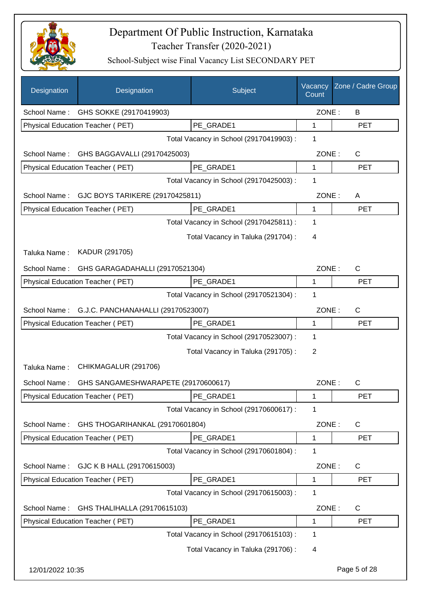

| Designation      | Designation                             | Subject                                 | Vacancy<br>Count | Zone / Cadre Group |
|------------------|-----------------------------------------|-----------------------------------------|------------------|--------------------|
| School Name:     | GHS SOKKE (29170419903)                 |                                         | ZONE:            | B                  |
|                  | Physical Education Teacher (PET)        | PE_GRADE1                               | 1                | <b>PET</b>         |
|                  |                                         | Total Vacancy in School (29170419903) : | 1                |                    |
| School Name:     | GHS BAGGAVALLI (29170425003)            |                                         | ZONE:            | $\mathsf{C}$       |
|                  | Physical Education Teacher (PET)        | PE GRADE1                               | 1                | <b>PET</b>         |
|                  |                                         | Total Vacancy in School (29170425003) : | 1                |                    |
| School Name:     | GJC BOYS TARIKERE (29170425811)         |                                         | ZONE:            | A                  |
|                  | Physical Education Teacher (PET)        | PE_GRADE1                               | 1                | <b>PET</b>         |
|                  |                                         | Total Vacancy in School (29170425811) : | 1                |                    |
|                  |                                         | Total Vacancy in Taluka (291704) :      | 4                |                    |
| Taluka Name:     | KADUR (291705)                          |                                         |                  |                    |
| School Name:     | GHS GARAGADAHALLI (29170521304)         |                                         | ZONE:            | $\mathsf{C}$       |
|                  | Physical Education Teacher (PET)        | PE_GRADE1                               | 1                | <b>PET</b>         |
|                  |                                         | Total Vacancy in School (29170521304) : | 1                |                    |
| School Name:     | G.J.C. PANCHANAHALLI (29170523007)      |                                         | ZONE:            | $\mathsf{C}$       |
|                  | Physical Education Teacher (PET)        | PE_GRADE1                               | 1                | <b>PET</b>         |
|                  |                                         | Total Vacancy in School (29170523007) : | 1                |                    |
|                  |                                         | Total Vacancy in Taluka (291705):       | 2                |                    |
| Taluka Name:     | CHIKMAGALUR (291706)                    |                                         |                  |                    |
| School Name:     | GHS SANGAMESHWARAPETE (29170600617)     |                                         | ZONE:            | C                  |
|                  | <b>Physical Education Teacher (PET)</b> | PE_GRADE1                               | 1                | <b>PET</b>         |
|                  |                                         | Total Vacancy in School (29170600617) : | 1                |                    |
| School Name:     | GHS THOGARIHANKAL (29170601804)         |                                         | ZONE:            | C                  |
|                  | Physical Education Teacher (PET)        | PE_GRADE1                               | 1                | PET                |
|                  |                                         | Total Vacancy in School (29170601804) : | 1                |                    |
| School Name:     | GJC K B HALL (29170615003)              |                                         | ZONE:            | C                  |
|                  | Physical Education Teacher (PET)        | PE_GRADE1                               | 1                | <b>PET</b>         |
|                  |                                         | Total Vacancy in School (29170615003) : | 1                |                    |
| School Name:     | GHS THALIHALLA (29170615103)            |                                         | ZONE:            | C                  |
|                  | Physical Education Teacher (PET)        | PE_GRADE1                               | 1                | <b>PET</b>         |
|                  |                                         | Total Vacancy in School (29170615103) : | 1                |                    |
|                  |                                         | Total Vacancy in Taluka (291706) :      | 4                |                    |
| 12/01/2022 10:35 |                                         |                                         |                  | Page 5 of 28       |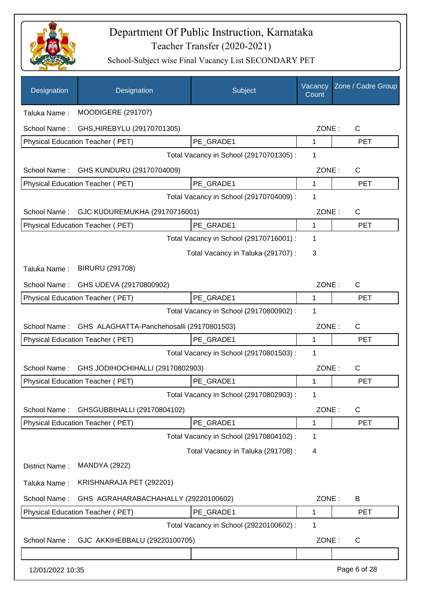

| Designation      | Designation                               | Subject                                 | Vacancy<br>Count | Zone / Cadre Group |
|------------------|-------------------------------------------|-----------------------------------------|------------------|--------------------|
| Taluka Name:     | <b>MOODIGERE (291707)</b>                 |                                         |                  |                    |
| School Name:     | GHS, HIREBYLU (29170701305)               |                                         | ZONE:            | $\mathsf{C}$       |
|                  | Physical Education Teacher (PET)          | PE GRADE1                               | $\mathbf{1}$     | <b>PET</b>         |
|                  |                                           | Total Vacancy in School (29170701305) : | 1                |                    |
| School Name:     | GHS KUNDURU (29170704009)                 |                                         | ZONE:            | $\mathsf{C}$       |
|                  | Physical Education Teacher (PET)          | PE_GRADE1                               | 1                | <b>PET</b>         |
|                  |                                           | Total Vacancy in School (29170704009) : | 1                |                    |
| School Name:     | GJC KUDUREMUKHA (29170716001)             |                                         | ZONE:            | $\mathsf{C}$       |
|                  | <b>Physical Education Teacher (PET)</b>   | PE GRADE1                               | 1                | <b>PET</b>         |
|                  |                                           | Total Vacancy in School (29170716001) : | 1                |                    |
|                  |                                           | Total Vacancy in Taluka (291707) :      | 3                |                    |
| Taluka Name:     | <b>BIRURU (291708)</b>                    |                                         |                  |                    |
| School Name:     | GHS UDEVA (29170800902)                   |                                         | ZONE:            | $\mathsf{C}$       |
|                  | Physical Education Teacher (PET)          | PE_GRADE1                               | 1                | <b>PET</b>         |
|                  |                                           | Total Vacancy in School (29170800902) : | 1                |                    |
| School Name:     | GHS ALAGHATTA-Panchehosalli (29170801503) |                                         | ZONE:            | $\mathsf{C}$       |
|                  | Physical Education Teacher (PET)          | PE GRADE1                               | 1                | <b>PET</b>         |
|                  |                                           | Total Vacancy in School (29170801503) : | 1                |                    |
| School Name:     | GHS JODIHOCHIHALLI (29170802903)          |                                         | ZONE:            | C                  |
|                  | Physical Education Teacher (PET)          | PE GRADE1                               | 1                | <b>PET</b>         |
|                  |                                           | Total Vacancy in School (29170802903) : | 1                |                    |
| School Name:     | GHSGUBBIHALLI (29170804102)               |                                         | ZONE:            | $\mathsf{C}$       |
|                  | Physical Education Teacher (PET)          | PE_GRADE1                               | 1                | <b>PET</b>         |
|                  |                                           | Total Vacancy in School (29170804102) : | 1                |                    |
|                  |                                           | Total Vacancy in Taluka (291708) :      | 4                |                    |
| District Name:   | <b>MANDYA (2922)</b>                      |                                         |                  |                    |
| Taluka Name:     | KRISHNARAJA PET (292201)                  |                                         |                  |                    |
| School Name:     | GHS AGRAHARABACHAHALLY (29220100602)      |                                         | ZONE:            | B                  |
|                  | Physical Education Teacher (PET)          | PE_GRADE1                               | 1                | <b>PET</b>         |
|                  |                                           | Total Vacancy in School (29220100602) : | 1                |                    |
| School Name:     | GJC AKKIHEBBALU (29220100705)             |                                         | ZONE:            | $\mathsf{C}$       |
|                  |                                           |                                         |                  |                    |
| 12/01/2022 10:35 |                                           |                                         |                  | Page 6 of 28       |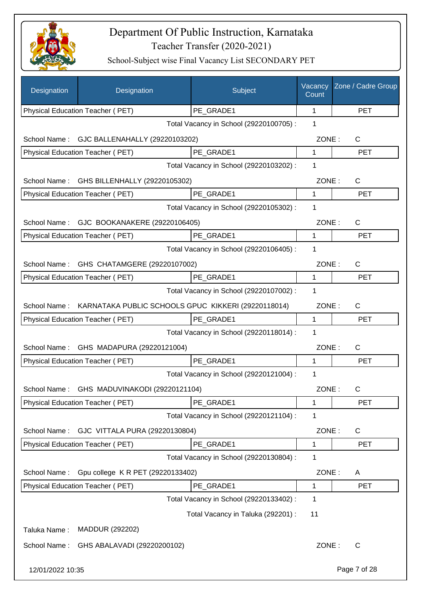

| Designation      | Designation                                         | Subject                                 | Vacancy<br>Count | Zone / Cadre Group |
|------------------|-----------------------------------------------------|-----------------------------------------|------------------|--------------------|
|                  | Physical Education Teacher (PET)                    | PE_GRADE1                               | 1                | <b>PET</b>         |
|                  |                                                     | Total Vacancy in School (29220100705) : | 1                |                    |
| School Name:     | GJC BALLENAHALLY (29220103202)                      |                                         | ZONE:            | $\mathsf{C}$       |
|                  | Physical Education Teacher (PET)                    | PE_GRADE1                               | 1                | <b>PET</b>         |
|                  |                                                     | Total Vacancy in School (29220103202) : | 1                |                    |
| School Name:     | GHS BILLENHALLY (29220105302)                       |                                         | ZONE:            | C                  |
|                  | Physical Education Teacher (PET)                    | PE GRADE1                               | 1                | <b>PET</b>         |
|                  |                                                     | Total Vacancy in School (29220105302) : | 1                |                    |
|                  | School Name: GJC BOOKANAKERE (29220106405)          |                                         | ZONE:            | $\mathsf{C}$       |
|                  | Physical Education Teacher (PET)                    | PE GRADE1                               | 1                | <b>PET</b>         |
|                  |                                                     | Total Vacancy in School (29220106405) : | 1                |                    |
|                  | School Name: GHS CHATAMGERE (29220107002)           |                                         | ZONE:            | C                  |
|                  | Physical Education Teacher (PET)                    | PE GRADE1                               | $\mathbf{1}$     | <b>PET</b>         |
|                  |                                                     | Total Vacancy in School (29220107002) : | 1                |                    |
| School Name:     | KARNATAKA PUBLIC SCHOOLS GPUC KIKKERI (29220118014) |                                         | ZONE:            | C                  |
|                  | Physical Education Teacher (PET)                    | PE_GRADE1                               | 1                | <b>PET</b>         |
|                  |                                                     | Total Vacancy in School (29220118014) : | 1                |                    |
| School Name:     | GHS MADAPURA (29220121004)                          |                                         | ZONE:            | $\mathsf{C}$       |
|                  | Physical Education Teacher (PET)                    | PE_GRADE1                               | 1                | <b>PET</b>         |
|                  |                                                     | Total Vacancy in School (29220121004) : | 1                |                    |
| School Name:     | GHS MADUVINAKODI (29220121104)                      |                                         | ZONE:            | С                  |
|                  | Physical Education Teacher (PET)                    | PE_GRADE1                               | 1                | <b>PET</b>         |
|                  |                                                     | Total Vacancy in School (29220121104) : | 1                |                    |
| School Name:     | GJC VITTALA PURA (29220130804)                      |                                         | ZONE:            | C                  |
|                  | Physical Education Teacher (PET)                    | PE GRADE1                               | 1                | <b>PET</b>         |
|                  |                                                     | Total Vacancy in School (29220130804) : | 1                |                    |
| School Name:     | Gpu college K R PET (29220133402)                   |                                         | ZONE:            | A                  |
|                  | Physical Education Teacher (PET)                    | PE_GRADE1                               | 1                | <b>PET</b>         |
|                  |                                                     | Total Vacancy in School (29220133402) : | 1                |                    |
|                  |                                                     | Total Vacancy in Taluka (292201) :      | 11               |                    |
| Taluka Name:     | MADDUR (292202)                                     |                                         |                  |                    |
| School Name:     | GHS ABALAVADI (29220200102)                         |                                         | ZONE:            | C                  |
| 12/01/2022 10:35 |                                                     |                                         |                  | Page 7 of 28       |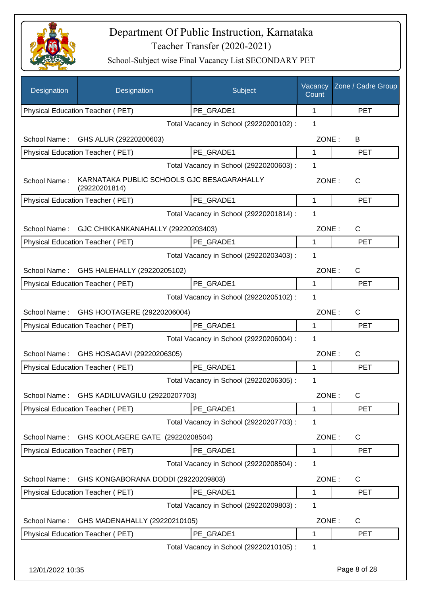

| Designation      | Designation                                                 | Subject                                 | Vacancy<br>Count | Zone / Cadre Group |
|------------------|-------------------------------------------------------------|-----------------------------------------|------------------|--------------------|
|                  | Physical Education Teacher (PET)                            | PE GRADE1                               | $\mathbf{1}$     | <b>PET</b>         |
|                  |                                                             | Total Vacancy in School (29220200102) : | 1                |                    |
|                  | School Name: GHS ALUR (29220200603)                         |                                         | ZONE:            | B                  |
|                  | Physical Education Teacher (PET)                            | PE GRADE1                               | 1                | <b>PET</b>         |
|                  |                                                             | Total Vacancy in School (29220200603) : | 1                |                    |
| School Name:     | KARNATAKA PUBLIC SCHOOLS GJC BESAGARAHALLY<br>(29220201814) |                                         | ZONE:            | C                  |
|                  | Physical Education Teacher (PET)                            | PE GRADE1                               | $\mathbf 1$      | <b>PET</b>         |
|                  |                                                             | Total Vacancy in School (29220201814) : | 1                |                    |
|                  | School Name: GJC CHIKKANKANAHALLY (29220203403)             |                                         | ZONE:            | $\mathsf{C}$       |
|                  | Physical Education Teacher (PET)                            | PE GRADE1                               | $\mathbf 1$      | <b>PET</b>         |
|                  |                                                             | Total Vacancy in School (29220203403) : | 1                |                    |
| School Name:     | GHS HALEHALLY (29220205102)                                 |                                         | ZONE:            | $\mathsf{C}$       |
|                  | Physical Education Teacher (PET)                            | PE GRADE1                               | 1                | <b>PET</b>         |
|                  |                                                             | Total Vacancy in School (29220205102) : | 1                |                    |
| School Name:     | GHS HOOTAGERE (29220206004)                                 |                                         | ZONE:            | $\mathsf{C}$       |
|                  | Physical Education Teacher (PET)                            | PE GRADE1                               | 1                | <b>PET</b>         |
|                  |                                                             | Total Vacancy in School (29220206004) : | 1                |                    |
| School Name:     | GHS HOSAGAVI (29220206305)                                  |                                         | ZONE:            | $\mathsf{C}$       |
|                  | Physical Education Teacher (PET)                            | PE_GRADE1                               | $\mathbf{1}$     | <b>PET</b>         |
|                  |                                                             | Total Vacancy in School (29220206305) : | 1                |                    |
| School Name:     | GHS KADILUVAGILU (29220207703)                              |                                         | ZONE:            | C                  |
|                  | Physical Education Teacher (PET)                            | PE_GRADE1                               | 1                | <b>PET</b>         |
|                  |                                                             | Total Vacancy in School (29220207703) : | 1                |                    |
| School Name:     | GHS KOOLAGERE GATE (29220208504)                            |                                         | ZONE:            | C                  |
|                  | Physical Education Teacher (PET)                            | PE_GRADE1                               | 1                | <b>PET</b>         |
|                  |                                                             | Total Vacancy in School (29220208504) : | 1                |                    |
| School Name:     | GHS KONGABORANA DODDI (29220209803)                         |                                         | ZONE:            | C                  |
|                  | Physical Education Teacher (PET)                            | PE_GRADE1                               | 1                | PET                |
|                  |                                                             | Total Vacancy in School (29220209803) : | 1                |                    |
| School Name:     | GHS MADENAHALLY (29220210105)                               |                                         | ZONE:            | C                  |
|                  | Physical Education Teacher (PET)                            | PE_GRADE1                               | 1                | <b>PET</b>         |
|                  |                                                             | Total Vacancy in School (29220210105) : | 1                |                    |
|                  |                                                             |                                         |                  |                    |
| 12/01/2022 10:35 |                                                             |                                         |                  | Page 8 of 28       |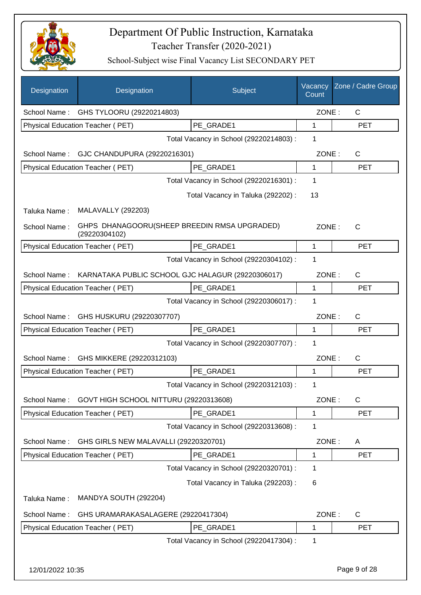

| Designation      | Designation                                                   | Subject                                 | Vacancy<br>Count | Zone / Cadre Group |
|------------------|---------------------------------------------------------------|-----------------------------------------|------------------|--------------------|
|                  | School Name: GHS TYLOORU (29220214803)                        |                                         | ZONE:            | $\mathsf{C}$       |
|                  | Physical Education Teacher (PET)                              | PE_GRADE1                               | 1                | <b>PET</b>         |
|                  |                                                               | Total Vacancy in School (29220214803) : | 1                |                    |
| School Name:     | GJC CHANDUPURA (29220216301)                                  |                                         | ZONE:            | C                  |
|                  | Physical Education Teacher (PET)                              | PE GRADE1                               | 1                | <b>PET</b>         |
|                  |                                                               | Total Vacancy in School (29220216301) : | 1                |                    |
|                  |                                                               | Total Vacancy in Taluka (292202) :      | 13               |                    |
| Taluka Name:     | <b>MALAVALLY (292203)</b>                                     |                                         |                  |                    |
| School Name:     | GHPS DHANAGOORU(SHEEP BREEDIN RMSA UPGRADED)<br>(29220304102) |                                         | ZONE:            | $\mathsf{C}$       |
|                  | <b>Physical Education Teacher (PET)</b>                       | PE_GRADE1                               | $\mathbf 1$      | <b>PET</b>         |
|                  |                                                               | Total Vacancy in School (29220304102) : | 1                |                    |
| School Name:     | KARNATAKA PUBLIC SCHOOL GJC HALAGUR (29220306017)             |                                         | ZONE:            | C                  |
|                  | Physical Education Teacher (PET)                              | PE_GRADE1                               | 1                | <b>PET</b>         |
|                  |                                                               | Total Vacancy in School (29220306017) : | 1                |                    |
| School Name:     | GHS HUSKURU (29220307707)                                     |                                         | ZONE:            | C                  |
|                  | Physical Education Teacher (PET)                              | PE GRADE1                               | 1                | <b>PET</b>         |
|                  |                                                               | Total Vacancy in School (29220307707) : | 1                |                    |
| School Name:     | GHS MIKKERE (29220312103)                                     |                                         | ZONE:            | C                  |
|                  | <b>Physical Education Teacher (PET)</b>                       | PE_GRADE1                               | 1                | <b>PET</b>         |
|                  |                                                               | Total Vacancy in School (29220312103) : | 1                |                    |
| School Name:     | GOVT HIGH SCHOOL NITTURU (29220313608)                        |                                         | ZONE:            | C                  |
|                  | Physical Education Teacher (PET)                              | PE_GRADE1                               | 1                | <b>PET</b>         |
|                  |                                                               | Total Vacancy in School (29220313608) : | 1                |                    |
| School Name:     | GHS GIRLS NEW MALAVALLI (29220320701)                         |                                         | ZONE:            | A                  |
|                  | Physical Education Teacher (PET)                              | PE_GRADE1                               | 1                | <b>PET</b>         |
|                  |                                                               | Total Vacancy in School (29220320701) : | 1                |                    |
|                  |                                                               | Total Vacancy in Taluka (292203) :      | 6                |                    |
| Taluka Name:     | MANDYA SOUTH (292204)                                         |                                         |                  |                    |
| School Name:     | GHS URAMARAKASALAGERE (29220417304)                           |                                         | ZONE:            | $\mathsf C$        |
|                  | Physical Education Teacher (PET)                              | PE_GRADE1                               | 1                | <b>PET</b>         |
|                  |                                                               | Total Vacancy in School (29220417304) : | 1                |                    |
| 12/01/2022 10:35 |                                                               |                                         |                  | Page 9 of 28       |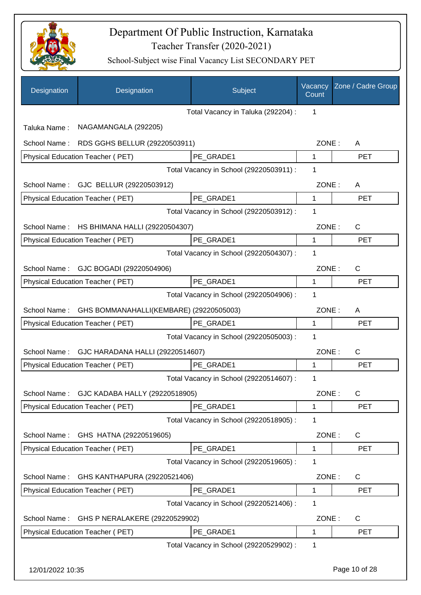

| Designation      | Designation                                 | Subject                                 | Vacancy<br>Count | Zone / Cadre Group |
|------------------|---------------------------------------------|-----------------------------------------|------------------|--------------------|
|                  |                                             | Total Vacancy in Taluka (292204) :      | 1                |                    |
| Taluka Name:     | NAGAMANGALA (292205)                        |                                         |                  |                    |
| School Name:     | RDS GGHS BELLUR (29220503911)               |                                         | ZONE:            | A                  |
|                  | Physical Education Teacher (PET)            | PE GRADE1                               | 1                | <b>PET</b>         |
|                  |                                             | Total Vacancy in School (29220503911) : | 1                |                    |
|                  | School Name: GJC BELLUR (29220503912)       |                                         | ZONE:            | A                  |
|                  | Physical Education Teacher (PET)            | PE GRADE1                               | 1                | <b>PET</b>         |
|                  |                                             | Total Vacancy in School (29220503912) : | 1                |                    |
| School Name:     | HS BHIMANA HALLI (29220504307)              |                                         | ZONE:            | $\mathsf{C}$       |
|                  | <b>Physical Education Teacher (PET)</b>     | PE_GRADE1                               | 1                | <b>PET</b>         |
|                  |                                             | Total Vacancy in School (29220504307) : | 1                |                    |
| School Name:     | GJC BOGADI (29220504906)                    |                                         | ZONE:            | $\mathsf{C}$       |
|                  | Physical Education Teacher (PET)            | PE_GRADE1                               | 1                | <b>PET</b>         |
|                  |                                             | Total Vacancy in School (29220504906) : | 1                |                    |
| School Name:     | GHS BOMMANAHALLI(KEMBARE) (29220505003)     |                                         | ZONE:            | A                  |
|                  | Physical Education Teacher (PET)            | PE GRADE1                               | 1                | <b>PET</b>         |
|                  |                                             | Total Vacancy in School (29220505003) : | 1                |                    |
| School Name:     | GJC HARADANA HALLI (29220514607)            |                                         | ZONE:            | $\mathsf{C}$       |
|                  | Physical Education Teacher (PET)            | PE GRADE1                               | 1                | <b>PET</b>         |
|                  |                                             | Total Vacancy in School (29220514607) : | 1                |                    |
|                  | School Name: GJC KADABA HALLY (29220518905) |                                         | ZONE:            | $\mathsf{C}$       |
|                  | Physical Education Teacher (PET)            | PE_GRADE1                               | 1                | <b>PET</b>         |
|                  |                                             | Total Vacancy in School (29220518905) : | 1                |                    |
| School Name:     | GHS HATNA (29220519605)                     |                                         | ZONE:            | C                  |
|                  | Physical Education Teacher (PET)            | PE_GRADE1                               | 1                | <b>PET</b>         |
|                  |                                             | Total Vacancy in School (29220519605) : | 1                |                    |
| School Name:     | GHS KANTHAPURA (29220521406)                |                                         | ZONE:            | C                  |
|                  | Physical Education Teacher (PET)            | PE_GRADE1                               | 1                | <b>PET</b>         |
|                  |                                             | Total Vacancy in School (29220521406) : | 1                |                    |
| School Name:     | GHS P NERALAKERE (29220529902)              |                                         | ZONE:            | C                  |
|                  | Physical Education Teacher (PET)            | PE_GRADE1                               | 1                | <b>PET</b>         |
|                  |                                             | Total Vacancy in School (29220529902) : | 1                |                    |
| 12/01/2022 10:35 |                                             |                                         |                  | Page 10 of 28      |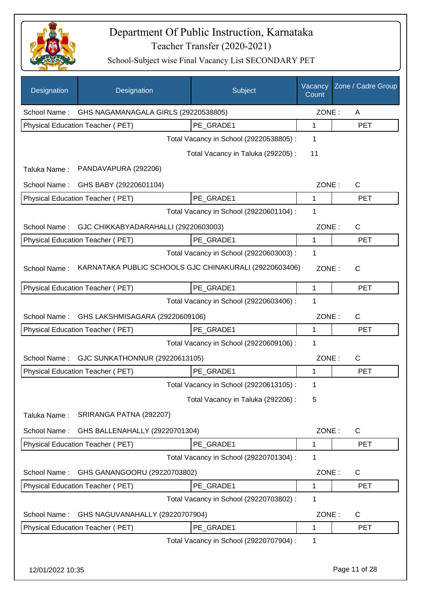

| Designation      | Designation                                            | Subject                                 | Vacancy<br>Count | Zone / Cadre Group |
|------------------|--------------------------------------------------------|-----------------------------------------|------------------|--------------------|
| School Name:     | GHS NAGAMANAGALA GIRLS (29220538805)                   |                                         | ZONE:            | A                  |
|                  | Physical Education Teacher (PET)                       | PE GRADE1                               | $\mathbf 1$      | <b>PET</b>         |
|                  |                                                        | Total Vacancy in School (29220538805) : | 1                |                    |
|                  |                                                        | Total Vacancy in Taluka (292205):       | 11               |                    |
| Taluka Name:     | PANDAVAPURA (292206)                                   |                                         |                  |                    |
| School Name:     | GHS BABY (29220601104)                                 |                                         | ZONE:            | $\mathsf{C}$       |
|                  | Physical Education Teacher (PET)                       | PE_GRADE1                               | 1                | <b>PET</b>         |
|                  |                                                        | Total Vacancy in School (29220601104) : | 1                |                    |
| School Name:     | GJC CHIKKABYADARAHALLI (29220603003)                   |                                         | ZONE:            | $\mathsf{C}$       |
|                  | Physical Education Teacher (PET)                       | PE GRADE1                               | 1                | <b>PET</b>         |
|                  |                                                        | Total Vacancy in School (29220603003) : | 1                |                    |
| School Name:     | KARNATAKA PUBLIC SCHOOLS GJC CHINAKURALI (29220603406) |                                         | ZONE:            | $\mathsf{C}$       |
|                  | Physical Education Teacher (PET)                       | PE_GRADE1                               | $\mathbf{1}$     | <b>PET</b>         |
|                  |                                                        | Total Vacancy in School (29220603406) : | 1                |                    |
| School Name:     | GHS LAKSHMISAGARA (29220609106)                        |                                         | ZONE:            | $\mathsf{C}$       |
|                  | Physical Education Teacher (PET)                       | PE GRADE1                               | 1                | <b>PET</b>         |
|                  |                                                        | Total Vacancy in School (29220609106) : | 1                |                    |
| School Name:     | GJC SUNKATHONNUR (29220613105)                         |                                         | ZONE:            | $\mathsf{C}$       |
|                  | Physical Education Teacher (PET)                       | PE GRADE1                               | 1                | <b>PET</b>         |
|                  |                                                        | Total Vacancy in School (29220613105) : | 1                |                    |
|                  |                                                        | Total Vacancy in Taluka (292206) :      | 5                |                    |
| Taluka Name:     | SRIRANGA PATNA (292207)                                |                                         |                  |                    |
| School Name:     | GHS BALLENAHALLY (29220701304)                         |                                         | ZONE:            | C                  |
|                  | Physical Education Teacher (PET)                       | PE GRADE1                               | 1                | <b>PET</b>         |
|                  |                                                        | Total Vacancy in School (29220701304) : | 1                |                    |
| School Name:     | GHS GANANGOORU (29220703802)                           |                                         | ZONE:            | $\mathsf{C}$       |
|                  | Physical Education Teacher (PET)                       | PE GRADE1                               | 1                | <b>PET</b>         |
|                  |                                                        | Total Vacancy in School (29220703802) : | 1                |                    |
| School Name:     | GHS NAGUVANAHALLY (29220707904)                        |                                         | ZONE:            | $\mathsf{C}$       |
|                  | Physical Education Teacher (PET)                       | PE GRADE1                               | 1                | <b>PET</b>         |
|                  |                                                        | Total Vacancy in School (29220707904) : | 1                |                    |
| 12/01/2022 10:35 |                                                        |                                         |                  | Page 11 of 28      |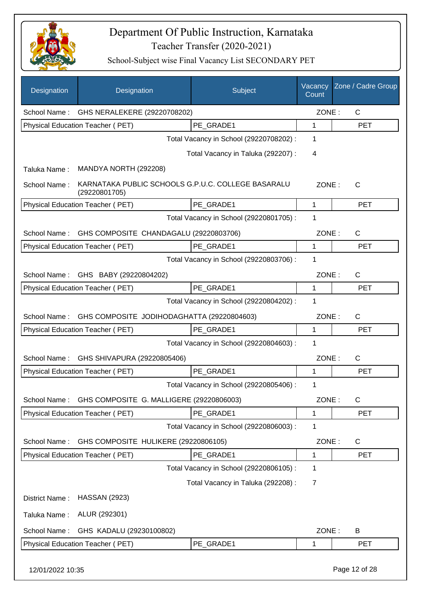

| <b>Designation</b> | Designation                                                         | Subject                                 | Vacancy<br>Count | Zone / Cadre Group |
|--------------------|---------------------------------------------------------------------|-----------------------------------------|------------------|--------------------|
| School Name:       | GHS NERALEKERE (29220708202)                                        |                                         | ZONE:            | $\mathsf{C}$       |
|                    | Physical Education Teacher (PET)                                    | PE GRADE1                               | 1                | <b>PET</b>         |
|                    |                                                                     | Total Vacancy in School (29220708202) : | 1                |                    |
|                    |                                                                     | Total Vacancy in Taluka (292207) :      | 4                |                    |
| Taluka Name:       | MANDYA NORTH (292208)                                               |                                         |                  |                    |
| School Name:       | KARNATAKA PUBLIC SCHOOLS G.P.U.C. COLLEGE BASARALU<br>(29220801705) |                                         | ZONE:            | C                  |
|                    | Physical Education Teacher (PET)                                    | PE_GRADE1                               | 1                | <b>PET</b>         |
|                    |                                                                     | Total Vacancy in School (29220801705) : | 1                |                    |
| School Name:       | GHS COMPOSITE CHANDAGALU (29220803706)                              |                                         | ZONE:            | $\mathsf{C}$       |
|                    | Physical Education Teacher (PET)                                    | PE GRADE1                               | 1                | <b>PET</b>         |
|                    |                                                                     | Total Vacancy in School (29220803706) : | 1                |                    |
| School Name:       | GHS BABY (29220804202)                                              |                                         | ZONE:            | C                  |
|                    | Physical Education Teacher (PET)                                    | PE_GRADE1                               | 1                | <b>PET</b>         |
|                    |                                                                     | Total Vacancy in School (29220804202) : | 1                |                    |
| School Name:       | GHS COMPOSITE JODIHODAGHATTA (29220804603)                          |                                         | ZONE:            | C                  |
|                    | Physical Education Teacher (PET)                                    | PE_GRADE1                               | 1                | <b>PET</b>         |
|                    |                                                                     | Total Vacancy in School (29220804603) : | 1                |                    |
| School Name:       | GHS SHIVAPURA (29220805406)                                         |                                         | ZONE:            | $\mathsf{C}$       |
|                    | Physical Education Teacher (PET)                                    | PE GRADE1                               | 1                | <b>PET</b>         |
|                    |                                                                     | Total Vacancy in School (29220805406) : | 1                |                    |
| School Name:       | GHS COMPOSITE G. MALLIGERE (29220806003)                            |                                         | ZONE:            | $\mathsf{C}$       |
|                    | Physical Education Teacher (PET)                                    | PE GRADE1                               | 1                | <b>PET</b>         |
|                    |                                                                     | Total Vacancy in School (29220806003) : | 1                |                    |
| School Name:       | GHS COMPOSITE HULIKERE (29220806105)                                |                                         | ZONE:            | C                  |
|                    | Physical Education Teacher (PET)                                    | PE GRADE1                               | 1                | <b>PET</b>         |
|                    |                                                                     | Total Vacancy in School (29220806105) : | 1                |                    |
|                    |                                                                     | Total Vacancy in Taluka (292208) :      | $\overline{7}$   |                    |
| District Name:     | <b>HASSAN (2923)</b>                                                |                                         |                  |                    |
| Taluka Name:       | ALUR (292301)                                                       |                                         |                  |                    |
| School Name:       | GHS KADALU (29230100802)                                            |                                         | ZONE:            | B                  |
|                    | Physical Education Teacher (PET)                                    | PE_GRADE1                               | 1                | <b>PET</b>         |
| 12/01/2022 10:35   |                                                                     |                                         |                  | Page 12 of 28      |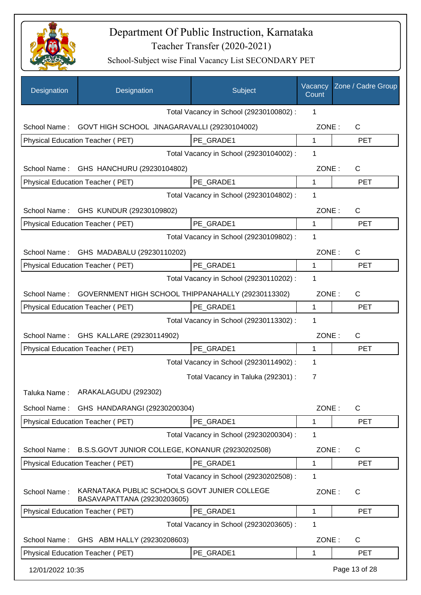

| Designation      | Designation                                                                 | Subject                                 | Vacancy<br>Count | Zone / Cadre Group |
|------------------|-----------------------------------------------------------------------------|-----------------------------------------|------------------|--------------------|
|                  |                                                                             | Total Vacancy in School (29230100802) : | 1                |                    |
| School Name:     | GOVT HIGH SCHOOL JINAGARAVALLI (29230104002)                                |                                         | ZONE:            | C                  |
|                  | Physical Education Teacher (PET)                                            | PE GRADE1                               | $\mathbf{1}$     | <b>PET</b>         |
|                  |                                                                             | Total Vacancy in School (29230104002) : | 1                |                    |
| School Name:     | GHS HANCHURU (29230104802)                                                  |                                         | ZONE:            | $\mathsf{C}$       |
|                  | Physical Education Teacher (PET)                                            | PE_GRADE1                               | 1                | <b>PET</b>         |
|                  |                                                                             | Total Vacancy in School (29230104802) : | 1                |                    |
|                  | School Name: GHS KUNDUR (29230109802)                                       |                                         | ZONE:            | $\mathsf{C}$       |
|                  | Physical Education Teacher (PET)                                            | PE_GRADE1                               | 1                | <b>PET</b>         |
|                  |                                                                             | Total Vacancy in School (29230109802) : | 1                |                    |
|                  | School Name: GHS MADABALU (29230110202)                                     |                                         | ZONE:            | $\mathsf{C}$       |
|                  | <b>Physical Education Teacher (PET)</b>                                     | PE_GRADE1                               | 1                | <b>PET</b>         |
|                  |                                                                             | Total Vacancy in School (29230110202) : | 1                |                    |
| School Name:     | GOVERNMENT HIGH SCHOOL THIPPANAHALLY (29230113302)                          |                                         | ZONE:            | $\mathsf{C}$       |
|                  | Physical Education Teacher (PET)                                            | PE_GRADE1                               | 1                | <b>PET</b>         |
|                  |                                                                             | Total Vacancy in School (29230113302) : | 1                |                    |
| School Name:     | GHS KALLARE (29230114902)                                                   |                                         | ZONE:            | $\mathsf{C}$       |
|                  | Physical Education Teacher (PET)                                            | PE_GRADE1                               | 1                | <b>PET</b>         |
|                  |                                                                             | Total Vacancy in School (29230114902) : | 1                |                    |
|                  |                                                                             | Total Vacancy in Taluka (292301) :      | 7                |                    |
| Taluka Name :    | ARAKALAGUDU (292302)                                                        |                                         |                  |                    |
| School Name:     | GHS HANDARANGI (29230200304)                                                |                                         | ZONE:            | $\mathsf{C}$       |
|                  | Physical Education Teacher (PET)                                            | PE_GRADE1                               | 1                | <b>PET</b>         |
|                  |                                                                             | Total Vacancy in School (29230200304) : | 1                |                    |
| School Name:     | B.S.S.GOVT JUNIOR COLLEGE, KONANUR (29230202508)                            |                                         | ZONE:            | $\mathsf{C}$       |
|                  | Physical Education Teacher (PET)                                            | PE GRADE1                               | 1                | <b>PET</b>         |
|                  |                                                                             | Total Vacancy in School (29230202508) : | 1                |                    |
| School Name:     | KARNATAKA PUBLIC SCHOOLS GOVT JUNIER COLLEGE<br>BASAVAPATTANA (29230203605) |                                         | ZONE:            | $\mathsf{C}$       |
|                  | Physical Education Teacher (PET)                                            | PE_GRADE1                               | 1                | <b>PET</b>         |
|                  |                                                                             | Total Vacancy in School (29230203605) : | 1                |                    |
| School Name:     | GHS ABM HALLY (29230208603)                                                 |                                         | ZONE:            | C                  |
|                  | Physical Education Teacher (PET)                                            | PE GRADE1                               | 1                | <b>PET</b>         |
| 12/01/2022 10:35 |                                                                             |                                         |                  | Page 13 of 28      |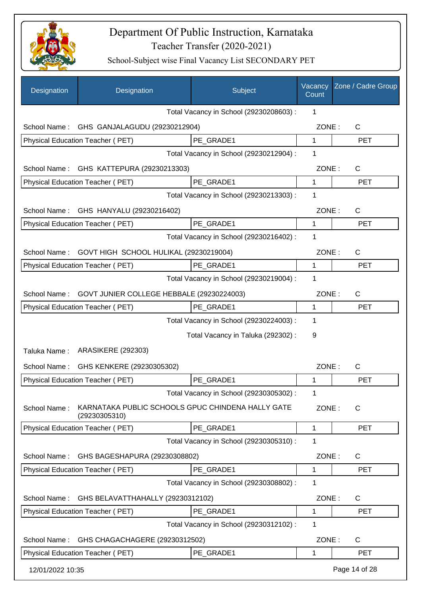

| Designation                                               | Designation                                                        | Subject                                 | Vacancy<br>Count | Zone / Cadre Group |
|-----------------------------------------------------------|--------------------------------------------------------------------|-----------------------------------------|------------------|--------------------|
|                                                           |                                                                    | Total Vacancy in School (29230208603) : | 1                |                    |
|                                                           | School Name: GHS GANJALAGUDU (29230212904)                         |                                         | ZONE:            | $\mathsf{C}$       |
|                                                           | Physical Education Teacher (PET)                                   | PE GRADE1                               | $\mathbf 1$      | <b>PET</b>         |
|                                                           |                                                                    | Total Vacancy in School (29230212904) : | 1                |                    |
| School Name:                                              | GHS KATTEPURA (29230213303)                                        |                                         | ZONE:            | $\mathsf{C}$       |
|                                                           | Physical Education Teacher (PET)                                   | PE GRADE1                               | $\mathbf 1$      | <b>PET</b>         |
|                                                           |                                                                    | Total Vacancy in School (29230213303) : | 1                |                    |
|                                                           | School Name: GHS HANYALU (29230216402)                             |                                         | ZONE:            | C                  |
|                                                           | <b>Physical Education Teacher (PET)</b>                            | PE_GRADE1                               | 1                | <b>PET</b>         |
|                                                           |                                                                    | Total Vacancy in School (29230216402) : | 1                |                    |
| GOVT HIGH SCHOOL HULIKAL (29230219004)<br>School Name:    |                                                                    |                                         | ZONE:            | $\mathsf{C}$       |
|                                                           | Physical Education Teacher (PET)                                   | PE_GRADE1                               | 1                | <b>PET</b>         |
|                                                           |                                                                    | Total Vacancy in School (29230219004) : | 1                |                    |
| GOVT JUNIER COLLEGE HEBBALE (29230224003)<br>School Name: |                                                                    |                                         | ZONE:            | $\mathsf{C}$       |
|                                                           | Physical Education Teacher (PET)                                   | PE GRADE1                               | 1                | <b>PET</b>         |
|                                                           |                                                                    | Total Vacancy in School (29230224003) : | 1                |                    |
|                                                           |                                                                    | Total Vacancy in Taluka (292302) :      | 9                |                    |
| Taluka Name:                                              | <b>ARASIKERE (292303)</b>                                          |                                         |                  |                    |
| School Name:                                              | GHS KENKERE (29230305302)                                          |                                         | ZONE:            | C                  |
|                                                           | Physical Education Teacher (PET)                                   | PE_GRADE1                               | 1                | <b>PET</b>         |
|                                                           |                                                                    | Total Vacancy in School (29230305302) : | 1                |                    |
| School Name:                                              | KARNATAKA PUBLIC SCHOOLS GPUC CHINDENA HALLY GATE<br>(29230305310) |                                         | ZONE:            | $\mathsf{C}$       |
|                                                           | Physical Education Teacher (PET)                                   | PE GRADE1                               | $\mathbf 1$      | <b>PET</b>         |
|                                                           |                                                                    | Total Vacancy in School (29230305310) : | 1                |                    |
| School Name:                                              | GHS BAGESHAPURA (29230308802)                                      |                                         | ZONE:            | $\mathsf{C}$       |
|                                                           | Physical Education Teacher (PET)                                   | PE_GRADE1                               | 1                | <b>PET</b>         |
|                                                           |                                                                    | Total Vacancy in School (29230308802) : | 1                |                    |
| School Name:                                              | GHS BELAVATTHAHALLY (29230312102)                                  |                                         | ZONE:            | $\mathsf{C}$       |
|                                                           | Physical Education Teacher (PET)                                   | PE_GRADE1                               | 1                | <b>PET</b>         |
|                                                           |                                                                    | Total Vacancy in School (29230312102) : | 1                |                    |
| School Name:                                              | GHS CHAGACHAGERE (29230312502)                                     |                                         | ZONE:            | C                  |
|                                                           | Physical Education Teacher (PET)                                   | PE GRADE1                               | 1                | <b>PET</b>         |
| 12/01/2022 10:35                                          |                                                                    |                                         |                  | Page 14 of 28      |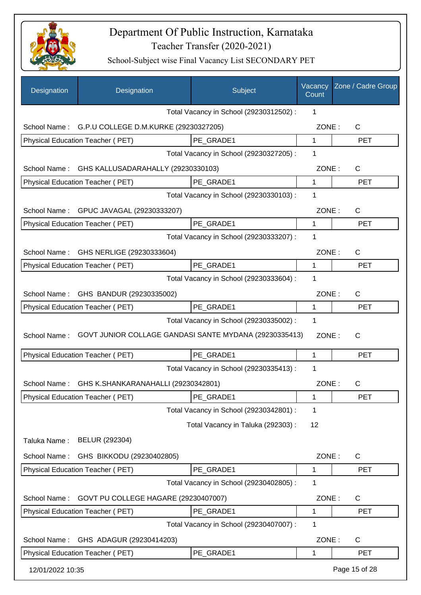

| Designation                              | Designation                                            | Subject                                 | Vacancy<br>Count | Zone / Cadre Group |
|------------------------------------------|--------------------------------------------------------|-----------------------------------------|------------------|--------------------|
|                                          |                                                        | Total Vacancy in School (29230312502) : | 1                |                    |
|                                          | School Name: G.P.U COLLEGE D.M.KURKE (29230327205)     |                                         | ZONE:            | $\mathsf{C}$       |
|                                          | Physical Education Teacher (PET)                       | PE GRADE1                               | 1                | <b>PET</b>         |
|                                          |                                                        | Total Vacancy in School (29230327205) : | 1                |                    |
| School Name:                             | GHS KALLUSADARAHALLY (29230330103)                     |                                         | ZONE:            | $\mathsf{C}$       |
|                                          | Physical Education Teacher (PET)                       | PE GRADE1                               | $\mathbf{1}$     | <b>PET</b>         |
|                                          |                                                        | Total Vacancy in School (29230330103) : | 1                |                    |
|                                          | School Name: GPUC JAVAGAL (29230333207)                |                                         | ZONE:            | $\mathsf{C}$       |
|                                          | Physical Education Teacher (PET)                       | PE_GRADE1                               | $\mathbf 1$      | <b>PET</b>         |
|                                          |                                                        | Total Vacancy in School (29230333207) : | 1                |                    |
| School Name:                             | GHS NERLIGE (29230333604)                              |                                         | ZONE:            | C                  |
|                                          | Physical Education Teacher (PET)                       | PE_GRADE1                               | 1                | <b>PET</b>         |
|                                          |                                                        | Total Vacancy in School (29230333604) : | 1                |                    |
|                                          | School Name: GHS BANDUR (29230335002)                  |                                         | ZONE:            | $\mathsf{C}$       |
|                                          | Physical Education Teacher (PET)                       | PE_GRADE1                               | 1                | <b>PET</b>         |
|                                          | Total Vacancy in School (29230335002) :                | $\mathbf{1}$                            |                  |                    |
| School Name:                             | GOVT JUNIOR COLLAGE GANDASI SANTE MYDANA (29230335413) |                                         | ZONE:            | $\mathsf{C}$       |
|                                          | Physical Education Teacher (PET)                       | PE_GRADE1                               | $\mathbf 1$      | <b>PET</b>         |
|                                          |                                                        | Total Vacancy in School (29230335413) : | 1                |                    |
|                                          | School Name: GHS K.SHANKARANAHALLI (29230342801)       |                                         | ZONE:            | С                  |
|                                          | <b>Physical Education Teacher (PET)</b>                | PE_GRADE1                               | 1                | <b>PET</b>         |
|                                          |                                                        | Total Vacancy in School (29230342801) : | 1                |                    |
|                                          |                                                        | Total Vacancy in Taluka (292303) :      | 12               |                    |
| Taluka Name:                             | BELUR (292304)                                         |                                         |                  |                    |
| School Name:                             | GHS BIKKODU (29230402805)                              |                                         | ZONE:            | C                  |
|                                          | Physical Education Teacher (PET)                       | PE GRADE1                               | 1                | <b>PET</b>         |
|                                          |                                                        | Total Vacancy in School (29230402805) : | 1                |                    |
| School Name:                             | GOVT PU COLLEGE HAGARE (29230407007)                   |                                         | ZONE:            | $\mathsf{C}$       |
|                                          | Physical Education Teacher (PET)                       | PE_GRADE1                               | 1                | <b>PET</b>         |
|                                          |                                                        | Total Vacancy in School (29230407007) : | 1                |                    |
| School Name:<br>GHS ADAGUR (29230414203) |                                                        |                                         | ZONE:            | $\mathsf{C}$       |
|                                          | Physical Education Teacher (PET)                       | PE_GRADE1                               | 1                | <b>PET</b>         |
| 12/01/2022 10:35                         |                                                        |                                         |                  | Page 15 of 28      |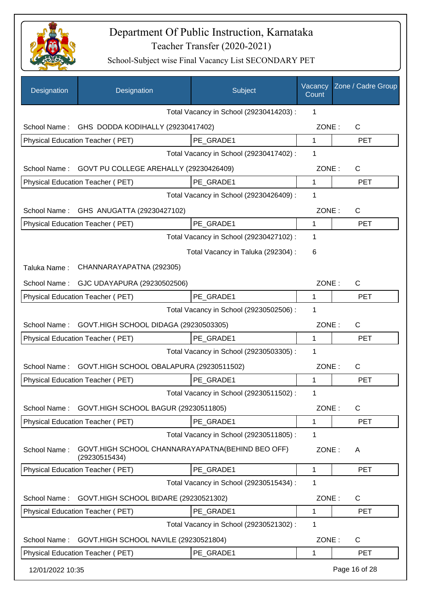

| Designation                                           | Designation                                                       | Subject                                 | Vacancy<br>Count | Zone / Cadre Group |
|-------------------------------------------------------|-------------------------------------------------------------------|-----------------------------------------|------------------|--------------------|
|                                                       |                                                                   | Total Vacancy in School (29230414203) : | 1                |                    |
| School Name:                                          | GHS DODDA KODIHALLY (29230417402)                                 |                                         | ZONE:            | $\mathsf{C}$       |
|                                                       | Physical Education Teacher (PET)                                  | PE GRADE1                               | 1                | <b>PET</b>         |
|                                                       |                                                                   | Total Vacancy in School (29230417402) : | 1                |                    |
| School Name:                                          | GOVT PU COLLEGE AREHALLY (29230426409)                            |                                         | ZONE:            | $\mathsf{C}$       |
|                                                       | Physical Education Teacher (PET)                                  | PE GRADE1                               | 1                | <b>PET</b>         |
|                                                       |                                                                   | Total Vacancy in School (29230426409) : | 1                |                    |
|                                                       | School Name: GHS ANUGATTA (29230427102)                           |                                         | ZONE:            | C                  |
|                                                       | Physical Education Teacher (PET)                                  | PE_GRADE1                               | 1                | <b>PET</b>         |
|                                                       |                                                                   | Total Vacancy in School (29230427102) : | 1                |                    |
|                                                       |                                                                   | Total Vacancy in Taluka (292304) :      | 6                |                    |
| Taluka Name:                                          | CHANNARAYAPATNA (292305)                                          |                                         |                  |                    |
| School Name:                                          | GJC UDAYAPURA (29230502506)                                       |                                         | ZONE:            | C                  |
|                                                       | Physical Education Teacher (PET)                                  | PE_GRADE1                               | 1                | <b>PET</b>         |
|                                                       |                                                                   | Total Vacancy in School (29230502506) : | 1                |                    |
| GOVT.HIGH SCHOOL DIDAGA (29230503305)<br>School Name: |                                                                   |                                         | ZONE:            | C                  |
|                                                       | Physical Education Teacher (PET)                                  | PE GRADE1                               | 1                | <b>PET</b>         |
|                                                       |                                                                   | Total Vacancy in School (29230503305) : | 1                |                    |
| School Name:                                          | GOVT.HIGH SCHOOL OBALAPURA (29230511502)                          |                                         | ZONE:            | C                  |
|                                                       | Physical Education Teacher (PET)                                  | PE GRADE1                               | 1                | <b>PET</b>         |
|                                                       |                                                                   | Total Vacancy in School (29230511502) : | 1                |                    |
| School Name:                                          | GOVT.HIGH SCHOOL BAGUR (29230511805)                              |                                         | ZONE:            | $\mathsf{C}$       |
|                                                       | Physical Education Teacher (PET)                                  | PE GRADE1                               | 1                | <b>PET</b>         |
|                                                       |                                                                   | Total Vacancy in School (29230511805) : | 1                |                    |
| School Name:                                          | GOVT.HIGH SCHOOL CHANNARAYAPATNA(BEHIND BEO OFF)<br>(29230515434) |                                         | ZONE:            | A                  |
|                                                       | Physical Education Teacher (PET)                                  | PE_GRADE1                               | 1                | <b>PET</b>         |
|                                                       |                                                                   | Total Vacancy in School (29230515434) : | 1                |                    |
| School Name:                                          | GOVT.HIGH SCHOOL BIDARE (29230521302)                             |                                         | ZONE:            | C                  |
|                                                       | Physical Education Teacher (PET)                                  | PE GRADE1                               | 1                | <b>PET</b>         |
|                                                       |                                                                   | Total Vacancy in School (29230521302) : | 1                |                    |
| School Name:                                          | GOVT.HIGH SCHOOL NAVILE (29230521804)                             |                                         | ZONE:            | C                  |
|                                                       | Physical Education Teacher (PET)                                  | PE_GRADE1                               | 1                | <b>PET</b>         |
| 12/01/2022 10:35                                      |                                                                   |                                         |                  | Page 16 of 28      |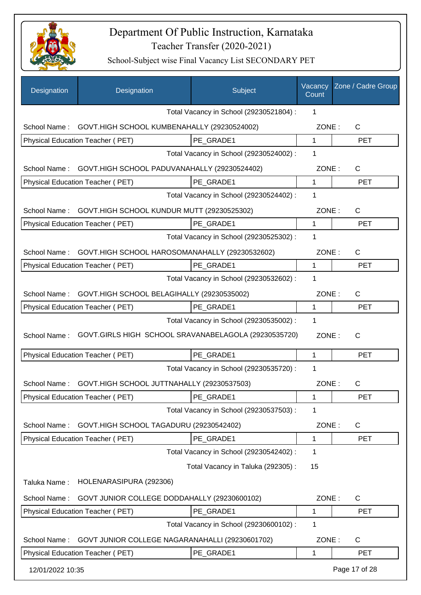

| Designation                             | Designation                                          | Subject                                 | Vacancy<br>Count | Zone / Cadre Group |
|-----------------------------------------|------------------------------------------------------|-----------------------------------------|------------------|--------------------|
|                                         |                                                      | Total Vacancy in School (29230521804) : | 1                |                    |
| School Name:                            | GOVT.HIGH SCHOOL KUMBENAHALLY (29230524002)          |                                         | ZONE:            | $\mathsf{C}$       |
|                                         | Physical Education Teacher (PET)                     | PE GRADE1                               | $\mathbf{1}$     | <b>PET</b>         |
|                                         |                                                      | Total Vacancy in School (29230524002) : | 1                |                    |
| School Name:                            | GOVT.HIGH SCHOOL PADUVANAHALLY (29230524402)         |                                         | ZONE:            | C                  |
|                                         | Physical Education Teacher (PET)                     | PE_GRADE1                               | 1                | <b>PET</b>         |
|                                         |                                                      | Total Vacancy in School (29230524402) : | 1                |                    |
| School Name:                            | GOVT.HIGH SCHOOL KUNDUR MUTT (29230525302)           |                                         | ZONE:            | $\mathsf{C}$       |
|                                         | Physical Education Teacher (PET)                     | PE_GRADE1                               | 1                | <b>PET</b>         |
|                                         |                                                      | Total Vacancy in School (29230525302) : | 1                |                    |
| School Name:                            | GOVT.HIGH SCHOOL HAROSOMANAHALLY (29230532602)       |                                         | ZONE:            | $\mathsf{C}$       |
|                                         | Physical Education Teacher (PET)                     | PE GRADE1                               | 1                | <b>PET</b>         |
|                                         |                                                      | Total Vacancy in School (29230532602) : | 1                |                    |
| School Name:                            | GOVT.HIGH SCHOOL BELAGIHALLY (29230535002)           |                                         | ZONE:            | $\mathsf{C}$       |
|                                         | Physical Education Teacher (PET)                     | PE GRADE1                               | 1                | <b>PET</b>         |
| Total Vacancy in School (29230535002) : |                                                      |                                         | 1                |                    |
| School Name:                            | GOVT.GIRLS HIGH SCHOOL SRAVANABELAGOLA (29230535720) |                                         | ZONE:            | $\mathsf{C}$       |
|                                         | Physical Education Teacher (PET)                     | PE_GRADE1                               | 1                | <b>PET</b>         |
|                                         |                                                      | Total Vacancy in School (29230535720) : | 1                |                    |
| School Name:                            | GOVT.HIGH SCHOOL JUTTNAHALLY (29230537503)           |                                         | ZONE:            | C                  |
|                                         | <b>Physical Education Teacher (PET)</b>              | PE_GRADE1                               | 1                | <b>PET</b>         |
|                                         |                                                      | Total Vacancy in School (29230537503) : | 1                |                    |
| School Name:                            | GOVT.HIGH SCHOOL TAGADURU (29230542402)              |                                         | ZONE:            | $\mathsf{C}$       |
|                                         | Physical Education Teacher (PET)                     | PE GRADE1                               | 1                | <b>PET</b>         |
|                                         |                                                      | Total Vacancy in School (29230542402) : | 1                |                    |
|                                         |                                                      | Total Vacancy in Taluka (292305):       | 15               |                    |
| Taluka Name:                            | HOLENARASIPURA (292306)                              |                                         |                  |                    |
| School Name:                            | GOVT JUNIOR COLLEGE DODDAHALLY (29230600102)         |                                         | ZONE:            | C                  |
|                                         | Physical Education Teacher (PET)                     | PE_GRADE1                               | 1                | <b>PET</b>         |
|                                         |                                                      | Total Vacancy in School (29230600102) : | 1                |                    |
| School Name:                            | GOVT JUNIOR COLLEGE NAGARANAHALLI (29230601702)      |                                         | ZONE:            | $\mathsf{C}$       |
|                                         | Physical Education Teacher (PET)                     | PE_GRADE1                               | 1                | <b>PET</b>         |
| 12/01/2022 10:35                        |                                                      |                                         |                  | Page 17 of 28      |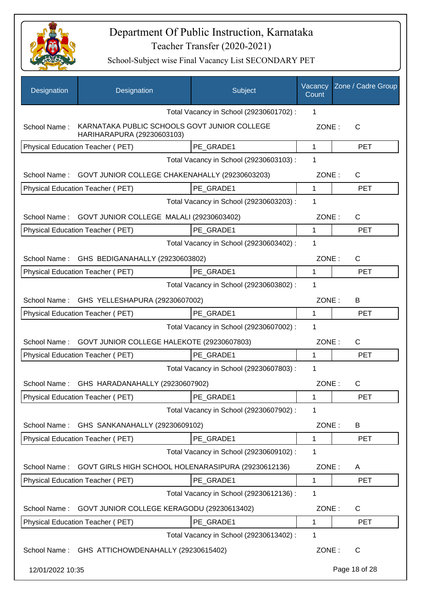

| Designation      | Designation                                                                | Subject                                 | Vacancy<br>Count | Zone / Cadre Group |
|------------------|----------------------------------------------------------------------------|-----------------------------------------|------------------|--------------------|
|                  |                                                                            | Total Vacancy in School (29230601702) : | 1                |                    |
| School Name:     | KARNATAKA PUBLIC SCHOOLS GOVT JUNIOR COLLEGE<br>HARIHARAPURA (29230603103) |                                         | ZONE:            | C                  |
|                  | <b>Physical Education Teacher (PET)</b>                                    | PE GRADE1                               | 1                | <b>PET</b>         |
|                  |                                                                            | Total Vacancy in School (29230603103) : | 1                |                    |
| School Name:     | GOVT JUNIOR COLLEGE CHAKENAHALLY (29230603203)                             |                                         | ZONE:            | $\mathsf{C}$       |
|                  | Physical Education Teacher (PET)                                           | PE_GRADE1                               | 1                | <b>PET</b>         |
|                  |                                                                            | Total Vacancy in School (29230603203) : | 1                |                    |
| School Name:     | GOVT JUNIOR COLLEGE MALALI (29230603402)                                   |                                         | ZONE:            | $\mathsf{C}$       |
|                  | Physical Education Teacher (PET)                                           | PE GRADE1                               | 1                | <b>PET</b>         |
|                  |                                                                            | Total Vacancy in School (29230603402) : | 1                |                    |
| School Name:     | GHS BEDIGANAHALLY (29230603802)                                            |                                         | ZONE:            | $\mathsf{C}$       |
|                  | Physical Education Teacher (PET)                                           | PE GRADE1                               | 1                | <b>PET</b>         |
|                  |                                                                            | Total Vacancy in School (29230603802) : | 1                |                    |
|                  | School Name: GHS YELLESHAPURA (29230607002)                                |                                         | ZONE:            | B                  |
|                  | Physical Education Teacher (PET)                                           | PE GRADE1                               | 1                | <b>PET</b>         |
|                  |                                                                            | Total Vacancy in School (29230607002) : | 1                |                    |
| School Name:     | GOVT JUNIOR COLLEGE HALEKOTE (29230607803)                                 |                                         | ZONE:            | $\mathsf{C}$       |
|                  | Physical Education Teacher (PET)                                           | PE GRADE1                               | 1                | <b>PET</b>         |
|                  |                                                                            | Total Vacancy in School (29230607803) : | 1                |                    |
|                  | School Name: GHS HARADANAHALLY (29230607902)                               |                                         | ZONE:            | С                  |
|                  | <b>Physical Education Teacher (PET)</b>                                    | PE_GRADE1                               | 1                | <b>PET</b>         |
|                  |                                                                            | Total Vacancy in School (29230607902) : | 1                |                    |
| School Name:     | GHS SANKANAHALLY (29230609102)                                             |                                         | ZONE:            | B                  |
|                  | Physical Education Teacher (PET)                                           | PE_GRADE1                               | 1                | <b>PET</b>         |
|                  |                                                                            | Total Vacancy in School (29230609102) : | 1                |                    |
| School Name:     | GOVT GIRLS HIGH SCHOOL HOLENARASIPURA (29230612136)                        |                                         | ZONE:            | A                  |
|                  | Physical Education Teacher (PET)                                           | PE_GRADE1                               | 1                | <b>PET</b>         |
|                  |                                                                            | Total Vacancy in School (29230612136) : | 1                |                    |
| School Name:     | GOVT JUNIOR COLLEGE KERAGODU (29230613402)                                 |                                         | ZONE:            | C                  |
|                  | Physical Education Teacher (PET)                                           | PE_GRADE1                               | 1                | <b>PET</b>         |
|                  |                                                                            | Total Vacancy in School (29230613402) : | 1                |                    |
|                  | School Name: GHS ATTICHOWDENAHALLY (29230615402)                           |                                         | ZONE:            | $\mathsf{C}$       |
| 12/01/2022 10:35 |                                                                            |                                         |                  | Page 18 of 28      |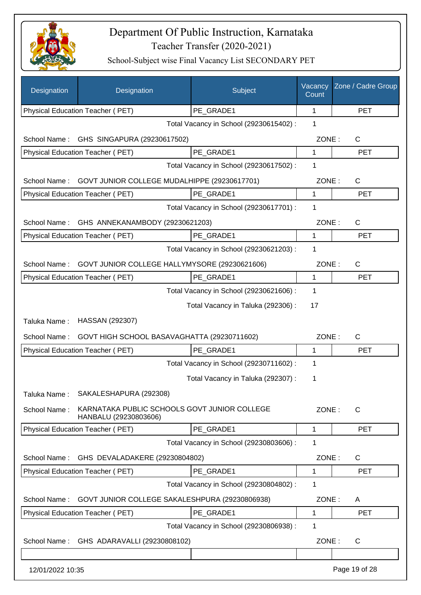

| Designation                                                   | Designation                                                           | Subject                                 | Vacancy<br>Count | Zone / Cadre Group |
|---------------------------------------------------------------|-----------------------------------------------------------------------|-----------------------------------------|------------------|--------------------|
|                                                               | Physical Education Teacher (PET)                                      | PE_GRADE1                               | 1                | <b>PET</b>         |
|                                                               |                                                                       | Total Vacancy in School (29230615402) : | 1                |                    |
| School Name:                                                  | GHS SINGAPURA (29230617502)                                           |                                         | ZONE:            | C                  |
|                                                               | Physical Education Teacher (PET)                                      | PE_GRADE1                               | 1                | <b>PET</b>         |
|                                                               |                                                                       | Total Vacancy in School (29230617502) : | 1                |                    |
| School Name:                                                  | GOVT JUNIOR COLLEGE MUDALHIPPE (29230617701)                          |                                         | ZONE:            | C                  |
|                                                               | Physical Education Teacher (PET)                                      | PE_GRADE1                               | 1                | <b>PET</b>         |
|                                                               |                                                                       | Total Vacancy in School (29230617701) : | 1                |                    |
| School Name:                                                  | GHS ANNEKANAMBODY (29230621203)                                       |                                         | ZONE:            | C                  |
|                                                               | Physical Education Teacher (PET)                                      | PE GRADE1                               | 1                | <b>PET</b>         |
|                                                               |                                                                       | Total Vacancy in School (29230621203) : | 1                |                    |
| School Name:<br>GOVT JUNIOR COLLEGE HALLYMYSORE (29230621606) |                                                                       |                                         | ZONE:            | C                  |
|                                                               | Physical Education Teacher (PET)                                      | PE_GRADE1                               | $\mathbf 1$      | <b>PET</b>         |
|                                                               |                                                                       | Total Vacancy in School (29230621606) : | 1                |                    |
|                                                               |                                                                       | Total Vacancy in Taluka (292306) :      | 17               |                    |
| Taluka Name:                                                  | HASSAN (292307)                                                       |                                         |                  |                    |
| School Name:                                                  | GOVT HIGH SCHOOL BASAVAGHATTA (29230711602)                           |                                         | ZONE:            | C                  |
|                                                               | Physical Education Teacher (PET)                                      | PE_GRADE1                               | 1                | <b>PET</b>         |
|                                                               |                                                                       | Total Vacancy in School (29230711602) : | 1                |                    |
|                                                               |                                                                       | Total Vacancy in Taluka (292307) :      | 1                |                    |
| Taluka Name :                                                 | SAKALESHAPURA (292308)                                                |                                         |                  |                    |
| School Name:                                                  | KARNATAKA PUBLIC SCHOOLS GOVT JUNIOR COLLEGE<br>HANBALU (29230803606) |                                         | ZONE:            | $\mathsf{C}$       |
|                                                               | Physical Education Teacher (PET)                                      | PE_GRADE1                               | 1                | <b>PET</b>         |
|                                                               |                                                                       | Total Vacancy in School (29230803606) : | 1                |                    |
| School Name:                                                  | GHS DEVALADAKERE (29230804802)                                        |                                         | ZONE:            | C                  |
|                                                               | Physical Education Teacher (PET)                                      | PE_GRADE1                               | 1                | <b>PET</b>         |
|                                                               |                                                                       | Total Vacancy in School (29230804802) : | 1                |                    |
| School Name:                                                  | GOVT JUNIOR COLLEGE SAKALESHPURA (29230806938)                        |                                         | ZONE:            | A                  |
|                                                               | Physical Education Teacher (PET)                                      | PE_GRADE1                               | 1                | <b>PET</b>         |
|                                                               |                                                                       | Total Vacancy in School (29230806938) : | 1                |                    |
| School Name:                                                  | GHS ADARAVALLI (29230808102)                                          |                                         | ZONE:            | C                  |
|                                                               |                                                                       |                                         |                  |                    |
| 12/01/2022 10:35                                              |                                                                       |                                         |                  | Page 19 of 28      |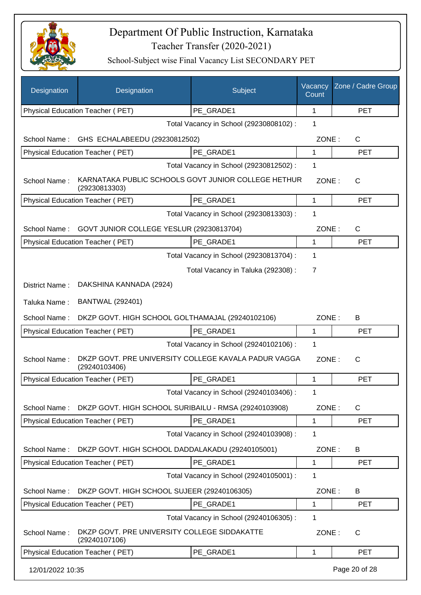

| Designation      | Designation                                                           | Subject                                 | Vacancy<br>Count | Zone / Cadre Group |
|------------------|-----------------------------------------------------------------------|-----------------------------------------|------------------|--------------------|
|                  | Physical Education Teacher (PET)                                      | PE_GRADE1                               | $\mathbf 1$      | <b>PET</b>         |
|                  |                                                                       | Total Vacancy in School (29230808102) : | 1                |                    |
| School Name:     | GHS ECHALABEEDU (29230812502)                                         |                                         | ZONE:            | C                  |
|                  | Physical Education Teacher (PET)                                      | PE GRADE1                               | 1                | <b>PET</b>         |
|                  |                                                                       | Total Vacancy in School (29230812502) : | 1                |                    |
| School Name:     | KARNATAKA PUBLIC SCHOOLS GOVT JUNIOR COLLEGE HETHUR<br>(29230813303)  |                                         | ZONE:            | C                  |
|                  | Physical Education Teacher (PET)                                      | PE_GRADE1                               | 1                | <b>PET</b>         |
|                  |                                                                       | Total Vacancy in School (29230813303) : | 1                |                    |
| School Name:     | GOVT JUNIOR COLLEGE YESLUR (29230813704)                              |                                         | ZONE:            | C                  |
|                  | Physical Education Teacher (PET)                                      | PE_GRADE1                               | 1                | <b>PET</b>         |
|                  |                                                                       | Total Vacancy in School (29230813704) : | 1                |                    |
|                  |                                                                       | Total Vacancy in Taluka (292308) :      | 7                |                    |
| District Name:   | DAKSHINA KANNADA (2924)                                               |                                         |                  |                    |
| Taluka Name:     | <b>BANTWAL (292401)</b>                                               |                                         |                  |                    |
| School Name:     | DKZP GOVT. HIGH SCHOOL GOLTHAMAJAL (29240102106)                      |                                         | ZONE:            | B                  |
|                  | Physical Education Teacher (PET)                                      | PE_GRADE1                               | 1                | <b>PET</b>         |
|                  |                                                                       | Total Vacancy in School (29240102106) : | 1                |                    |
| School Name:     | DKZP GOVT. PRE UNIVERSITY COLLEGE KAVALA PADUR VAGGA<br>(29240103406) |                                         | ZONE:            | C                  |
|                  | Physical Education Teacher (PET)                                      | PE GRADE1                               | 1                | <b>PET</b>         |
|                  |                                                                       | Total Vacancy in School (29240103406) : | 1                |                    |
| School Name:     | DKZP GOVT. HIGH SCHOOL SURIBAILU - RMSA (29240103908)                 |                                         | ZONE:            | $\mathsf{C}$       |
|                  | Physical Education Teacher (PET)                                      | PE GRADE1                               | 1                | <b>PET</b>         |
|                  |                                                                       | Total Vacancy in School (29240103908) : | 1                |                    |
| School Name:     | DKZP GOVT. HIGH SCHOOL DADDALAKADU (29240105001)                      |                                         | ZONE:            | B                  |
|                  | Physical Education Teacher (PET)                                      | PE GRADE1                               | 1                | <b>PET</b>         |
|                  |                                                                       | Total Vacancy in School (29240105001) : | 1                |                    |
| School Name:     | DKZP GOVT. HIGH SCHOOL SUJEER (29240106305)                           |                                         | ZONE:            | B                  |
|                  | Physical Education Teacher (PET)                                      | PE_GRADE1                               | 1                | <b>PET</b>         |
|                  |                                                                       | Total Vacancy in School (29240106305) : | 1                |                    |
| School Name:     | DKZP GOVT. PRE UNIVERSITY COLLEGE SIDDAKATTE<br>(29240107106)         |                                         | ZONE:            | C                  |
|                  | Physical Education Teacher (PET)                                      | PE GRADE1                               | 1                | <b>PET</b>         |
| 12/01/2022 10:35 |                                                                       |                                         |                  | Page 20 of 28      |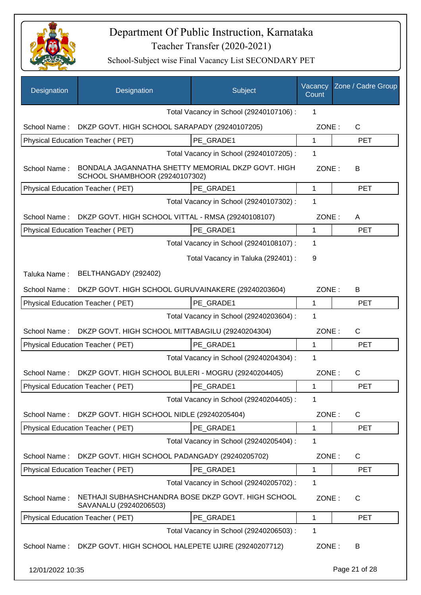

| Designation      | Designation                                                                          | Subject                                 | Vacancy<br>Count | Zone / Cadre Group |
|------------------|--------------------------------------------------------------------------------------|-----------------------------------------|------------------|--------------------|
|                  |                                                                                      | Total Vacancy in School (29240107106) : | 1                |                    |
| School Name:     | DKZP GOVT. HIGH SCHOOL SARAPADY (29240107205)                                        |                                         | ZONE:            | $\mathsf{C}$       |
|                  | Physical Education Teacher (PET)                                                     | PE GRADE1                               | 1                | <b>PET</b>         |
|                  |                                                                                      | Total Vacancy in School (29240107205) : | 1                |                    |
| School Name:     | BONDALA JAGANNATHA SHETTY MEMORIAL DKZP GOVT. HIGH<br>SCHOOL SHAMBHOOR (29240107302) |                                         | ZONE:            | В                  |
|                  | Physical Education Teacher (PET)                                                     | PE GRADE1                               | 1                | <b>PET</b>         |
|                  |                                                                                      | Total Vacancy in School (29240107302) : | 1                |                    |
| School Name:     | DKZP GOVT. HIGH SCHOOL VITTAL - RMSA (29240108107)                                   |                                         | ZONE:            | A                  |
|                  | Physical Education Teacher (PET)                                                     | PE GRADE1                               | 1                | <b>PET</b>         |
|                  |                                                                                      | Total Vacancy in School (29240108107) : | 1                |                    |
|                  |                                                                                      | Total Vacancy in Taluka (292401) :      | 9                |                    |
| Taluka Name:     | BELTHANGADY (292402)                                                                 |                                         |                  |                    |
| School Name:     | DKZP GOVT. HIGH SCHOOL GURUVAINAKERE (29240203604)                                   |                                         | ZONE:            | B                  |
|                  | Physical Education Teacher (PET)                                                     | PE GRADE1                               | 1                | <b>PET</b>         |
|                  |                                                                                      | Total Vacancy in School (29240203604) : | 1                |                    |
| School Name:     | DKZP GOVT. HIGH SCHOOL MITTABAGILU (29240204304)                                     |                                         | ZONE:            | $\mathsf{C}$       |
|                  | Physical Education Teacher (PET)                                                     | PE GRADE1                               | 1                | <b>PET</b>         |
|                  |                                                                                      | Total Vacancy in School (29240204304) : | 1                |                    |
| School Name:     | DKZP GOVT. HIGH SCHOOL BULERI - MOGRU (29240204405)                                  |                                         | ZONE:            | C                  |
|                  | Physical Education Teacher (PET)                                                     | PE GRADE1                               | 1                | <b>PET</b>         |
|                  |                                                                                      | Total Vacancy in School (29240204405) : | 1                |                    |
| School Name:     | DKZP GOVT. HIGH SCHOOL NIDLE (29240205404)                                           |                                         | ZONE:            | C                  |
|                  | Physical Education Teacher (PET)                                                     | PE GRADE1                               | 1                | <b>PET</b>         |
|                  |                                                                                      | Total Vacancy in School (29240205404) : | 1                |                    |
| School Name:     | DKZP GOVT. HIGH SCHOOL PADANGADY (29240205702)                                       |                                         | ZONE:            | C                  |
|                  | Physical Education Teacher (PET)                                                     | PE_GRADE1                               | 1                | <b>PET</b>         |
|                  |                                                                                      | Total Vacancy in School (29240205702) : | 1                |                    |
| School Name:     | NETHAJI SUBHASHCHANDRA BOSE DKZP GOVT. HIGH SCHOOL<br>SAVANALU (29240206503)         |                                         | ZONE:            | C                  |
|                  | Physical Education Teacher (PET)                                                     | PE_GRADE1                               | 1                | PET                |
|                  |                                                                                      | Total Vacancy in School (29240206503) : | 1                |                    |
| School Name:     | DKZP GOVT. HIGH SCHOOL HALEPETE UJIRE (29240207712)                                  |                                         | ZONE:            | B                  |
| 12/01/2022 10:35 |                                                                                      |                                         |                  | Page 21 of 28      |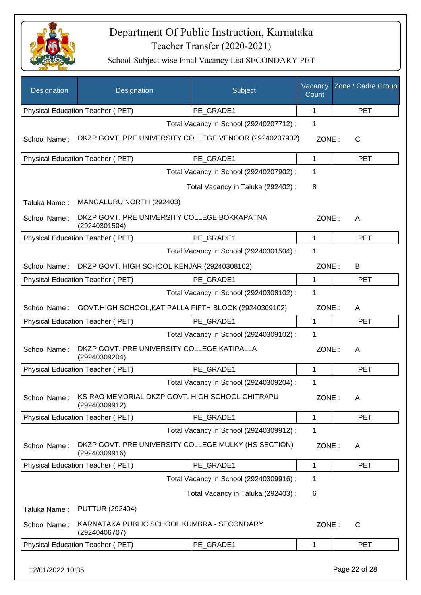

| Designation      | Designation                                                           | Subject                                 | Vacancy<br>Count | Zone / Cadre Group |
|------------------|-----------------------------------------------------------------------|-----------------------------------------|------------------|--------------------|
|                  | Physical Education Teacher (PET)                                      | PE_GRADE1                               | 1                | <b>PET</b>         |
|                  |                                                                       | Total Vacancy in School (29240207712) : | 1                |                    |
| School Name:     | DKZP GOVT. PRE UNIVERSITY COLLEGE VENOOR (29240207902)                |                                         | ZONE:            | С                  |
|                  | Physical Education Teacher (PET)                                      | PE GRADE1                               | 1                | <b>PET</b>         |
|                  |                                                                       | Total Vacancy in School (29240207902) : | 1                |                    |
|                  |                                                                       | Total Vacancy in Taluka (292402):       | 8                |                    |
| Taluka Name:     | MANGALURU NORTH (292403)                                              |                                         |                  |                    |
| School Name:     | DKZP GOVT. PRE UNIVERSITY COLLEGE BOKKAPATNA<br>(29240301504)         |                                         | ZONE:            | A                  |
|                  | <b>Physical Education Teacher (PET)</b>                               | PE GRADE1                               | $\mathbf{1}$     | <b>PET</b>         |
|                  |                                                                       | Total Vacancy in School (29240301504) : | 1                |                    |
| School Name:     | DKZP GOVT. HIGH SCHOOL KENJAR (29240308102)                           |                                         | ZONE:            | B                  |
|                  | Physical Education Teacher (PET)                                      | PE_GRADE1                               | 1                | <b>PET</b>         |
|                  |                                                                       | Total Vacancy in School (29240308102) : | 1                |                    |
| School Name:     | GOVT.HIGH SCHOOL, KATIPALLA FIFTH BLOCK (29240309102)                 |                                         | ZONE:            | A                  |
|                  | Physical Education Teacher (PET)                                      | PE_GRADE1                               | 1                | <b>PET</b>         |
|                  |                                                                       | Total Vacancy in School (29240309102) : | 1                |                    |
| School Name:     | DKZP GOVT. PRE UNIVERSITY COLLEGE KATIPALLA<br>(29240309204)          |                                         | ZONE:            | A                  |
|                  | Physical Education Teacher (PET)                                      | PE GRADE1                               | $\mathbf{1}$     | <b>PET</b>         |
|                  |                                                                       | Total Vacancy in School (29240309204) : | 1                |                    |
| School Name:     | KS RAO MEMORIAL DKZP GOVT. HIGH SCHOOL CHITRAPU<br>(29240309912)      |                                         | ZONE:            | A                  |
|                  | Physical Education Teacher (PET)                                      | PE_GRADE1                               | 1                | <b>PET</b>         |
|                  |                                                                       | Total Vacancy in School (29240309912) : | 1                |                    |
| School Name:     | DKZP GOVT. PRE UNIVERSITY COLLEGE MULKY (HS SECTION)<br>(29240309916) |                                         | ZONE:            | A                  |
|                  | <b>Physical Education Teacher (PET)</b>                               | PE GRADE1                               | 1                | PET                |
|                  |                                                                       | Total Vacancy in School (29240309916) : | 1                |                    |
|                  |                                                                       | Total Vacancy in Taluka (292403) :      | 6                |                    |
| Taluka Name:     | <b>PUTTUR (292404)</b>                                                |                                         |                  |                    |
| School Name:     | KARNATAKA PUBLIC SCHOOL KUMBRA - SECONDARY<br>(29240406707)           |                                         | ZONE:            | $\mathsf{C}$       |
|                  | Physical Education Teacher (PET)                                      | PE_GRADE1                               | 1                | <b>PET</b>         |
| 12/01/2022 10:35 |                                                                       |                                         |                  | Page 22 of 28      |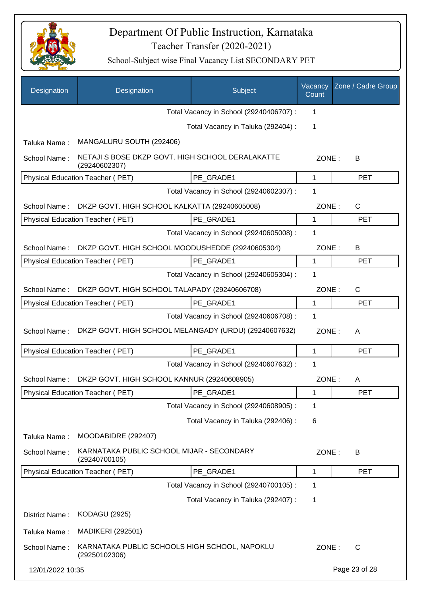

| Designation      | Designation                                                       | Subject                                 | Vacancy<br>Count | Zone / Cadre Group |
|------------------|-------------------------------------------------------------------|-----------------------------------------|------------------|--------------------|
|                  |                                                                   | Total Vacancy in School (29240406707) : | 1                |                    |
|                  |                                                                   | Total Vacancy in Taluka (292404) :      | 1                |                    |
| Taluka Name:     | MANGALURU SOUTH (292406)                                          |                                         |                  |                    |
| School Name:     | NETAJI S BOSE DKZP GOVT. HIGH SCHOOL DERALAKATTE<br>(29240602307) |                                         | ZONE:            | В                  |
|                  | Physical Education Teacher (PET)                                  | PE GRADE1                               | 1                | <b>PET</b>         |
|                  |                                                                   | Total Vacancy in School (29240602307) : | 1                |                    |
| School Name:     | DKZP GOVT. HIGH SCHOOL KALKATTA (29240605008)                     |                                         | ZONE:            | $\mathsf{C}$       |
|                  | Physical Education Teacher (PET)                                  | PE GRADE1                               | 1                | <b>PET</b>         |
|                  |                                                                   | Total Vacancy in School (29240605008) : | 1                |                    |
| School Name:     | DKZP GOVT. HIGH SCHOOL MOODUSHEDDE (29240605304)                  |                                         | ZONE:            | В                  |
|                  | Physical Education Teacher (PET)                                  | PE GRADE1                               | $\mathbf{1}$     | <b>PET</b>         |
|                  |                                                                   | Total Vacancy in School (29240605304) : | 1                |                    |
| School Name:     | DKZP GOVT. HIGH SCHOOL TALAPADY (29240606708)                     |                                         | ZONE:            | $\mathsf{C}$       |
|                  | Physical Education Teacher (PET)                                  | PE GRADE1                               | 1                | <b>PET</b>         |
|                  |                                                                   | Total Vacancy in School (29240606708) : | 1                |                    |
| School Name:     | DKZP GOVT. HIGH SCHOOL MELANGADY (URDU) (29240607632)             |                                         | ZONE:            | A                  |
|                  | Physical Education Teacher (PET)                                  | PE_GRADE1                               | $\mathbf{1}$     | <b>PET</b>         |
|                  |                                                                   | Total Vacancy in School (29240607632) : | 1                |                    |
| School Name:     | DKZP GOVT. HIGH SCHOOL KANNUR (29240608905)                       |                                         | ZONE:            | A                  |
|                  | Physical Education Teacher (PET)                                  | PE_GRADE1                               | 1                | PET                |
|                  |                                                                   | Total Vacancy in School (29240608905) : | $\mathbf 1$      |                    |
|                  |                                                                   | Total Vacancy in Taluka (292406) :      | 6                |                    |
| Taluka Name:     | MOODABIDRE (292407)                                               |                                         |                  |                    |
| School Name:     | KARNATAKA PUBLIC SCHOOL MIJAR - SECONDARY<br>(29240700105)        |                                         | ZONE:            | B                  |
|                  | Physical Education Teacher (PET)                                  | PE GRADE1                               | $\mathbf 1$      | <b>PET</b>         |
|                  |                                                                   | Total Vacancy in School (29240700105) : | 1                |                    |
|                  |                                                                   | Total Vacancy in Taluka (292407) :      | 1                |                    |
| District Name:   | <b>KODAGU (2925)</b>                                              |                                         |                  |                    |
| Taluka Name:     | <b>MADIKERI (292501)</b>                                          |                                         |                  |                    |
| School Name:     | KARNATAKA PUBLIC SCHOOLS HIGH SCHOOL, NAPOKLU<br>(29250102306)    |                                         | ZONE:            | C                  |
| 12/01/2022 10:35 |                                                                   |                                         |                  | Page 23 of 28      |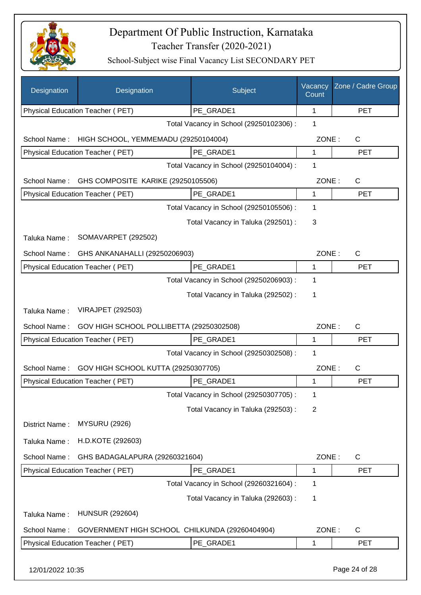

| Designation                                                                       | Designation                                    | Subject                                 | Vacancy<br>Count | Zone / Cadre Group |
|-----------------------------------------------------------------------------------|------------------------------------------------|-----------------------------------------|------------------|--------------------|
|                                                                                   | Physical Education Teacher (PET)               | PE GRADE1                               | 1                | <b>PET</b>         |
|                                                                                   |                                                | Total Vacancy in School (29250102306) : | 1                |                    |
| School Name:                                                                      | HIGH SCHOOL, YEMMEMADU (29250104004)           |                                         | ZONE:            | $\mathsf{C}$       |
|                                                                                   | Physical Education Teacher (PET)               | PE GRADE1                               | 1                | <b>PET</b>         |
|                                                                                   |                                                | Total Vacancy in School (29250104004) : | 1                |                    |
| School Name:                                                                      | GHS COMPOSITE KARIKE (29250105506)             |                                         | ZONE:            | $\mathsf{C}$       |
|                                                                                   | Physical Education Teacher (PET)               | PE GRADE1                               | 1                | <b>PET</b>         |
|                                                                                   |                                                | Total Vacancy in School (29250105506) : | 1                |                    |
|                                                                                   |                                                | Total Vacancy in Taluka (292501) :      | 3                |                    |
| Taluka Name:                                                                      | SOMAVARPET (292502)                            |                                         |                  |                    |
| School Name:                                                                      | GHS ANKANAHALLI (29250206903)                  |                                         | ZONE:            | $\mathsf{C}$       |
|                                                                                   | Physical Education Teacher (PET)               | PE GRADE1                               | 1                | <b>PET</b>         |
|                                                                                   |                                                | Total Vacancy in School (29250206903) : | 1                |                    |
|                                                                                   |                                                | Total Vacancy in Taluka (292502) :      | 1                |                    |
| Taluka Name:                                                                      | VIRAJPET (292503)                              |                                         |                  |                    |
| GOV HIGH SCHOOL POLLIBETTA (29250302508)<br>ZONE:<br>$\mathsf{C}$<br>School Name: |                                                |                                         |                  |                    |
|                                                                                   | Physical Education Teacher (PET)               | PE GRADE1                               | 1                | <b>PET</b>         |
|                                                                                   |                                                | Total Vacancy in School (29250302508) : | 1                |                    |
| School Name:                                                                      | GOV HIGH SCHOOL KUTTA (29250307705)            |                                         | ZONE:            | C                  |
|                                                                                   | Physical Education Teacher (PET)               | PE GRADE1                               | 1                | <b>PET</b>         |
|                                                                                   |                                                | Total Vacancy in School (29250307705) : | 1                |                    |
|                                                                                   |                                                | Total Vacancy in Taluka (292503) :      | $\overline{2}$   |                    |
| District Name:                                                                    | <b>MYSURU (2926)</b>                           |                                         |                  |                    |
| Taluka Name:                                                                      | H.D.KOTE (292603)                              |                                         |                  |                    |
| School Name:                                                                      | GHS BADAGALAPURA (29260321604)                 |                                         | ZONE:            | $\mathsf{C}$       |
|                                                                                   | Physical Education Teacher (PET)               | PE GRADE1                               | 1                | <b>PET</b>         |
|                                                                                   |                                                | Total Vacancy in School (29260321604) : | 1                |                    |
|                                                                                   |                                                | Total Vacancy in Taluka (292603) :      | 1                |                    |
| Taluka Name:                                                                      | <b>HUNSUR (292604)</b>                         |                                         |                  |                    |
| School Name:                                                                      | GOVERNMENT HIGH SCHOOL CHILKUNDA (29260404904) |                                         | ZONE:            | $\mathsf{C}$       |
|                                                                                   | Physical Education Teacher (PET)               | PE_GRADE1                               | 1                | <b>PET</b>         |
| 12/01/2022 10:35                                                                  |                                                |                                         |                  | Page 24 of 28      |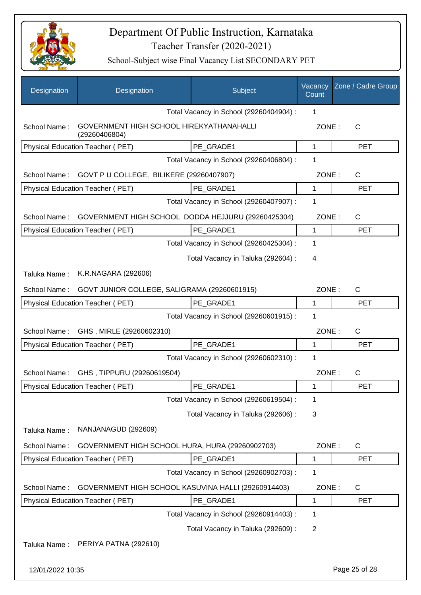

| Designation      | Designation                                               | Subject                                 | Vacancy<br>Count | Zone / Cadre Group |
|------------------|-----------------------------------------------------------|-----------------------------------------|------------------|--------------------|
|                  |                                                           | Total Vacancy in School (29260404904) : | 1                |                    |
| School Name:     | GOVERNMENT HIGH SCHOOL HIREKYATHANAHALLI<br>(29260406804) |                                         | ZONE:            | C                  |
|                  | Physical Education Teacher (PET)                          | PE GRADE1                               | $\mathbf{1}$     | <b>PET</b>         |
|                  |                                                           | Total Vacancy in School (29260406804) : | 1                |                    |
| School Name:     | GOVT P U COLLEGE, BILIKERE (29260407907)                  |                                         | ZONE:            | C                  |
|                  | Physical Education Teacher (PET)                          | PE GRADE1                               | 1                | <b>PET</b>         |
|                  |                                                           | Total Vacancy in School (29260407907) : | 1                |                    |
| School Name:     | GOVERNMENT HIGH SCHOOL DODDA HEJJURU (29260425304)        |                                         | ZONE:            | C                  |
|                  | Physical Education Teacher (PET)                          | PE_GRADE1                               | $\mathbf{1}$     | <b>PET</b>         |
|                  |                                                           | Total Vacancy in School (29260425304) : | 1                |                    |
|                  |                                                           | Total Vacancy in Taluka (292604) :      | 4                |                    |
| Taluka Name:     | K.R.NAGARA (292606)                                       |                                         |                  |                    |
| School Name:     | GOVT JUNIOR COLLEGE, SALIGRAMA (29260601915)              |                                         | ZONE:            | $\mathsf{C}$       |
|                  | Physical Education Teacher (PET)                          | PE_GRADE1                               | 1                | <b>PET</b>         |
|                  |                                                           | Total Vacancy in School (29260601915) : | 1                |                    |
| School Name:     | GHS, MIRLE (29260602310)                                  |                                         | ZONE:            | $\mathsf{C}$       |
|                  | Physical Education Teacher (PET)                          | PE GRADE1                               | 1                | <b>PET</b>         |
|                  |                                                           | Total Vacancy in School (29260602310) : | 1                |                    |
| School Name:     | GHS, TIPPURU (29260619504)                                |                                         | ZONE:            | C                  |
|                  | Physical Education Teacher (PET)                          | PE GRADE1                               |                  | <b>PET</b>         |
|                  |                                                           | Total Vacancy in School (29260619504) : | 1                |                    |
|                  |                                                           | Total Vacancy in Taluka (292606) :      | 3                |                    |
| Taluka Name:     | NANJANAGUD (292609)                                       |                                         |                  |                    |
| School Name:     | GOVERNMENT HIGH SCHOOL HURA, HURA (29260902703)           |                                         | ZONE:            | C                  |
|                  | Physical Education Teacher (PET)                          | PE_GRADE1                               | 1                | <b>PET</b>         |
|                  |                                                           | Total Vacancy in School (29260902703) : | 1                |                    |
| School Name:     | GOVERNMENT HIGH SCHOOL KASUVINA HALLI (29260914403)       |                                         | ZONE:            | C                  |
|                  | Physical Education Teacher (PET)                          | PE_GRADE1                               | 1                | <b>PET</b>         |
|                  |                                                           | Total Vacancy in School (29260914403) : | 1                |                    |
|                  |                                                           | Total Vacancy in Taluka (292609) :      | $\overline{2}$   |                    |
| Taluka Name:     | PERIYA PATNA (292610)                                     |                                         |                  |                    |
| 12/01/2022 10:35 |                                                           |                                         |                  | Page 25 of 28      |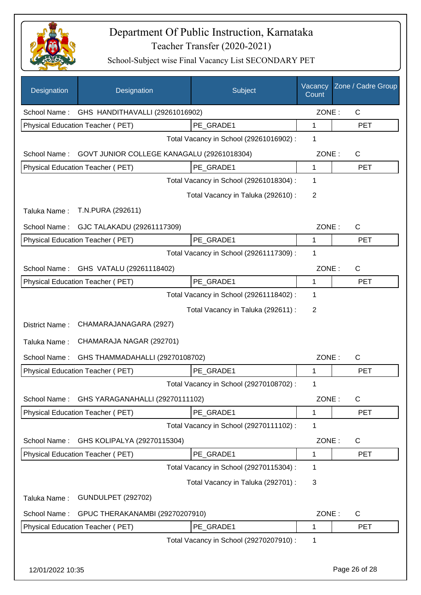

| Designation                                     | Designation                                | Subject                                 | Vacancy<br>Count | Zone / Cadre Group |
|-------------------------------------------------|--------------------------------------------|-----------------------------------------|------------------|--------------------|
| School Name:                                    | GHS HANDITHAVALLI (29261016902)            |                                         | ZONE:            | C                  |
|                                                 | Physical Education Teacher (PET)           | PE GRADE1                               | 1                | <b>PET</b>         |
|                                                 |                                            | Total Vacancy in School (29261016902) : | 1                |                    |
| School Name:                                    | GOVT JUNIOR COLLEGE KANAGALU (29261018304) |                                         | ZONE:            | $\mathsf{C}$       |
|                                                 | Physical Education Teacher (PET)           | PE_GRADE1                               | 1                | <b>PET</b>         |
|                                                 |                                            | Total Vacancy in School (29261018304) : | 1                |                    |
|                                                 |                                            | Total Vacancy in Taluka (292610) :      | $\overline{2}$   |                    |
| Taluka Name:                                    | T.N.PURA (292611)                          |                                         |                  |                    |
| School Name:                                    | GJC TALAKADU (29261117309)                 |                                         | ZONE:            | C                  |
|                                                 | Physical Education Teacher (PET)           | PE_GRADE1                               | 1                | <b>PET</b>         |
|                                                 |                                            | Total Vacancy in School (29261117309) : | 1                |                    |
| School Name:                                    | GHS VATALU (29261118402)                   |                                         | ZONE:            | C                  |
|                                                 | Physical Education Teacher (PET)           | PE_GRADE1                               | 1                | <b>PET</b>         |
|                                                 |                                            | Total Vacancy in School (29261118402) : | 1                |                    |
|                                                 |                                            | Total Vacancy in Taluka (292611) :      | 2                |                    |
| District Name:                                  | CHAMARAJANAGARA (2927)                     |                                         |                  |                    |
| Taluka Name:                                    | CHAMARAJA NAGAR (292701)                   |                                         |                  |                    |
| School Name:                                    | GHS THAMMADAHALLI (29270108702)            |                                         | ZONE:            | C                  |
|                                                 | Physical Education Teacher (PET)           | PE GRADE1                               | 1                | <b>PET</b>         |
|                                                 |                                            | Total Vacancy in School (29270108702) : | 1                |                    |
| School Name:                                    | GHS YARAGANAHALLI (29270111102)            |                                         | ZONE:            | C                  |
|                                                 | Physical Education Teacher (PET)           | PE_GRADE1                               | 1                | <b>PET</b>         |
|                                                 |                                            | Total Vacancy in School (29270111102) : | 1                |                    |
| School Name:                                    | GHS KOLIPALYA (29270115304)                |                                         | ZONE:            | C                  |
|                                                 | Physical Education Teacher (PET)           | PE_GRADE1                               | 1                | <b>PET</b>         |
|                                                 |                                            | Total Vacancy in School (29270115304) : | 1                |                    |
|                                                 |                                            | Total Vacancy in Taluka (292701) :      | 3                |                    |
| Taluka Name:                                    | <b>GUNDULPET (292702)</b>                  |                                         |                  |                    |
| School Name:<br>GPUC THERAKANAMBI (29270207910) |                                            | ZONE:                                   | $\mathsf C$      |                    |
|                                                 | Physical Education Teacher (PET)           | PE_GRADE1                               | 1                | <b>PET</b>         |
|                                                 |                                            | Total Vacancy in School (29270207910) : | 1                |                    |
| 12/01/2022 10:35                                |                                            |                                         |                  | Page 26 of 28      |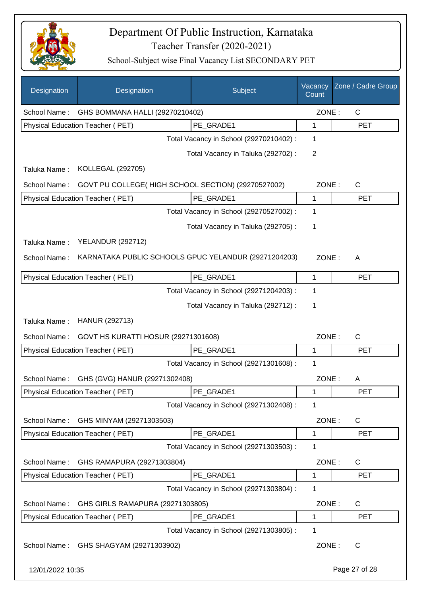

| Designation                                      | Designation                                          | Subject                                 | Vacancy<br>Count | Zone / Cadre Group |
|--------------------------------------------------|------------------------------------------------------|-----------------------------------------|------------------|--------------------|
| School Name:                                     | GHS BOMMANA HALLI (29270210402)                      |                                         | ZONE:            | C                  |
|                                                  | Physical Education Teacher (PET)                     | PE_GRADE1                               | 1                | <b>PET</b>         |
|                                                  |                                                      | Total Vacancy in School (29270210402) : | 1                |                    |
|                                                  |                                                      | Total Vacancy in Taluka (292702) :      | 2                |                    |
| Taluka Name:                                     | <b>KOLLEGAL (292705)</b>                             |                                         |                  |                    |
| School Name:                                     | GOVT PU COLLEGE(HIGH SCHOOL SECTION) (29270527002)   |                                         | ZONE:            | C                  |
|                                                  | Physical Education Teacher (PET)                     | PE_GRADE1                               | 1                | <b>PET</b>         |
|                                                  |                                                      | Total Vacancy in School (29270527002) : | 1                |                    |
|                                                  |                                                      | Total Vacancy in Taluka (292705) :      | 1                |                    |
| Taluka Name:                                     | <b>YELANDUR (292712)</b>                             |                                         |                  |                    |
| School Name:                                     | KARNATAKA PUBLIC SCHOOLS GPUC YELANDUR (29271204203) |                                         | ZONE:            | A                  |
|                                                  | Physical Education Teacher (PET)                     | PE_GRADE1                               | 1                | <b>PET</b>         |
|                                                  |                                                      | Total Vacancy in School (29271204203) : | 1                |                    |
|                                                  |                                                      | Total Vacancy in Taluka (292712) :      | 1                |                    |
| Taluka Name:                                     | HANUR (292713)                                       |                                         |                  |                    |
| School Name:                                     | GOVT HS KURATTI HOSUR (29271301608)                  |                                         | ZONE:            | $\mathsf{C}$       |
|                                                  | <b>Physical Education Teacher (PET)</b>              | PE_GRADE1                               | 1                | <b>PET</b>         |
|                                                  |                                                      | Total Vacancy in School (29271301608) : | 1                |                    |
| School Name:                                     | GHS (GVG) HANUR (29271302408)                        |                                         | ZONE:            | Α                  |
|                                                  | Physical Education Teacher (PET)                     | PE_GRADE1                               | 1                | <b>PET</b>         |
|                                                  |                                                      | Total Vacancy in School (29271302408) : | 1                |                    |
| School Name:                                     | GHS MINYAM (29271303503)                             |                                         | ZONE:            | C                  |
|                                                  | Physical Education Teacher (PET)                     | PE GRADE1                               | 1                | <b>PET</b>         |
|                                                  |                                                      | Total Vacancy in School (29271303503) : | 1                |                    |
| School Name:<br>GHS RAMAPURA (29271303804)       |                                                      |                                         | ZONE:            | C                  |
|                                                  | Physical Education Teacher (PET)                     | PE GRADE1                               | 1                | <b>PET</b>         |
|                                                  |                                                      | Total Vacancy in School (29271303804) : | 1                |                    |
| School Name:<br>GHS GIRLS RAMAPURA (29271303805) |                                                      |                                         | ZONE:            | C                  |
|                                                  | Physical Education Teacher (PET)                     | PE_GRADE1                               | 1                | <b>PET</b>         |
|                                                  |                                                      | Total Vacancy in School (29271303805) : | 1                |                    |
| School Name:                                     | GHS SHAGYAM (29271303902)                            |                                         | ZONE:            | С                  |
| 12/01/2022 10:35                                 |                                                      |                                         |                  | Page 27 of 28      |